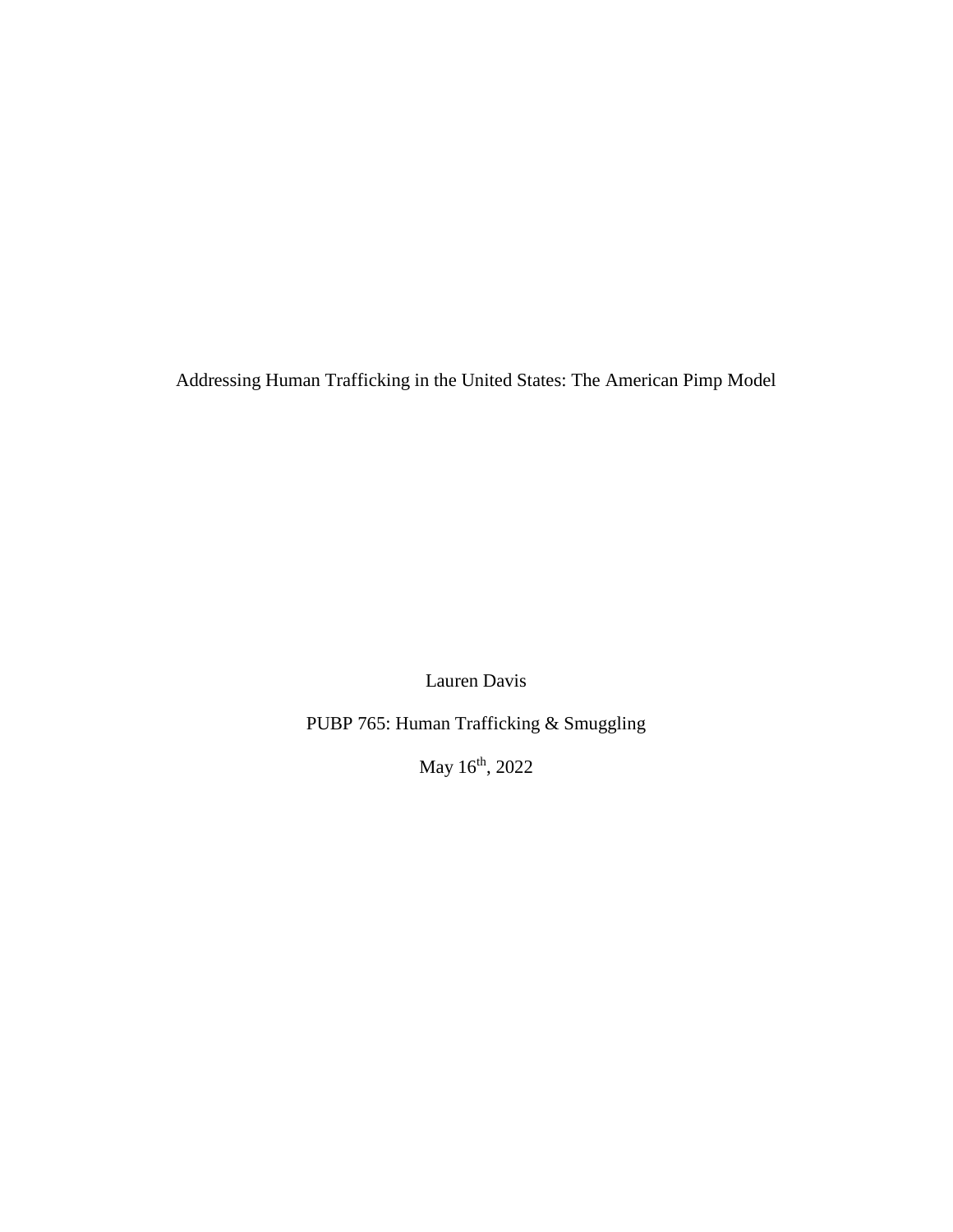Addressing Human Trafficking in the United States: The American Pimp Model

Lauren Davis

PUBP 765: Human Trafficking & Smuggling

May 16<sup>th</sup>, 2022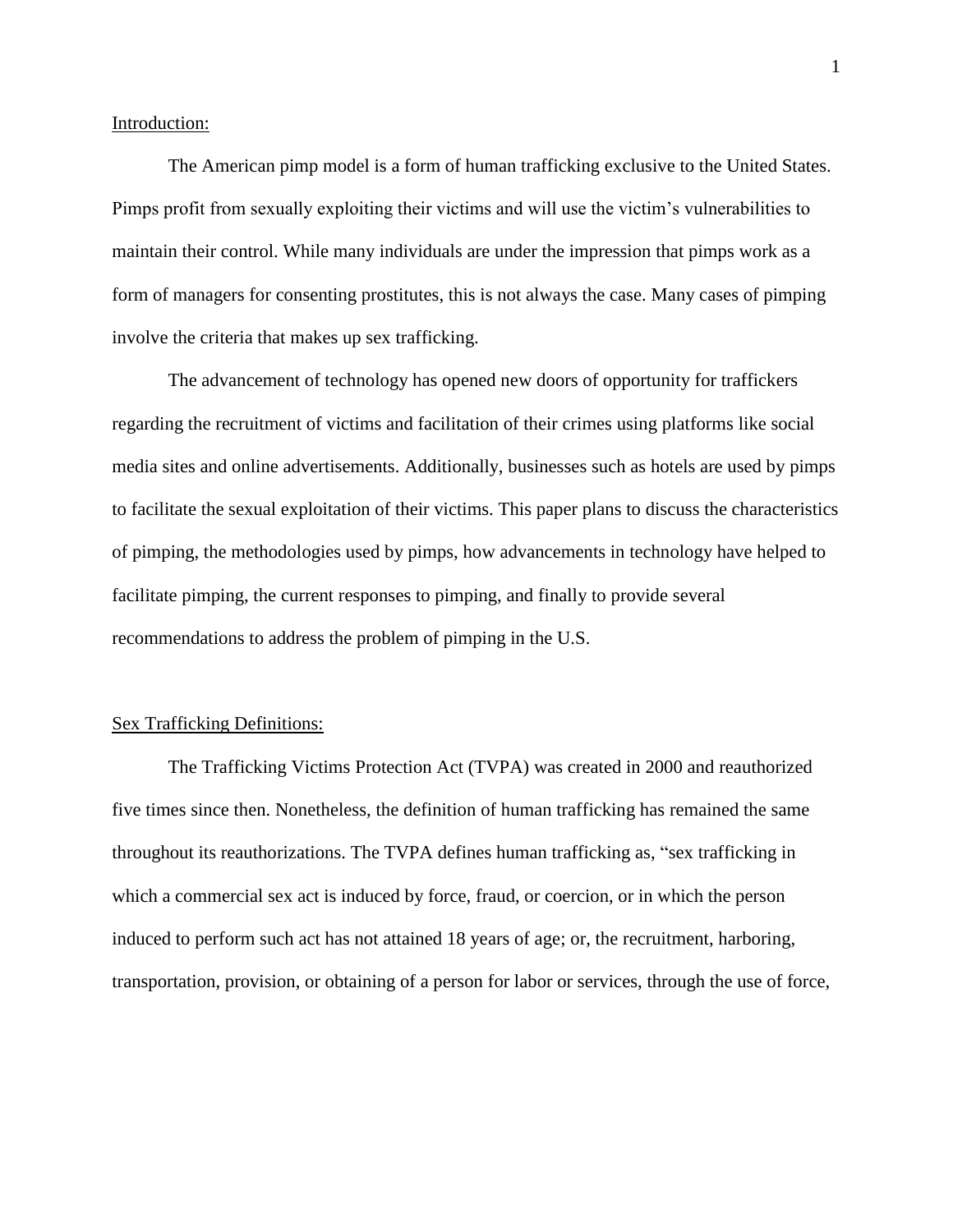Introduction:

The American pimp model is a form of human trafficking exclusive to the United States. Pimps profit from sexually exploiting their victims and will use the victim's vulnerabilities to maintain their control. While many individuals are under the impression that pimps work as a form of managers for consenting prostitutes, this is not always the case. Many cases of pimping involve the criteria that makes up sex trafficking.

The advancement of technology has opened new doors of opportunity for traffickers regarding the recruitment of victims and facilitation of their crimes using platforms like social media sites and online advertisements. Additionally, businesses such as hotels are used by pimps to facilitate the sexual exploitation of their victims. This paper plans to discuss the characteristics of pimping, the methodologies used by pimps, how advancements in technology have helped to facilitate pimping, the current responses to pimping, and finally to provide several recommendations to address the problem of pimping in the U.S.

### Sex Trafficking Definitions:

The Trafficking Victims Protection Act (TVPA) was created in 2000 and reauthorized five times since then. Nonetheless, the definition of human trafficking has remained the same throughout its reauthorizations. The TVPA defines human trafficking as, "sex trafficking in which a commercial sex act is induced by force, fraud, or coercion, or in which the person induced to perform such act has not attained 18 years of age; or, the recruitment, harboring, transportation, provision, or obtaining of a person for labor or services, through the use of force,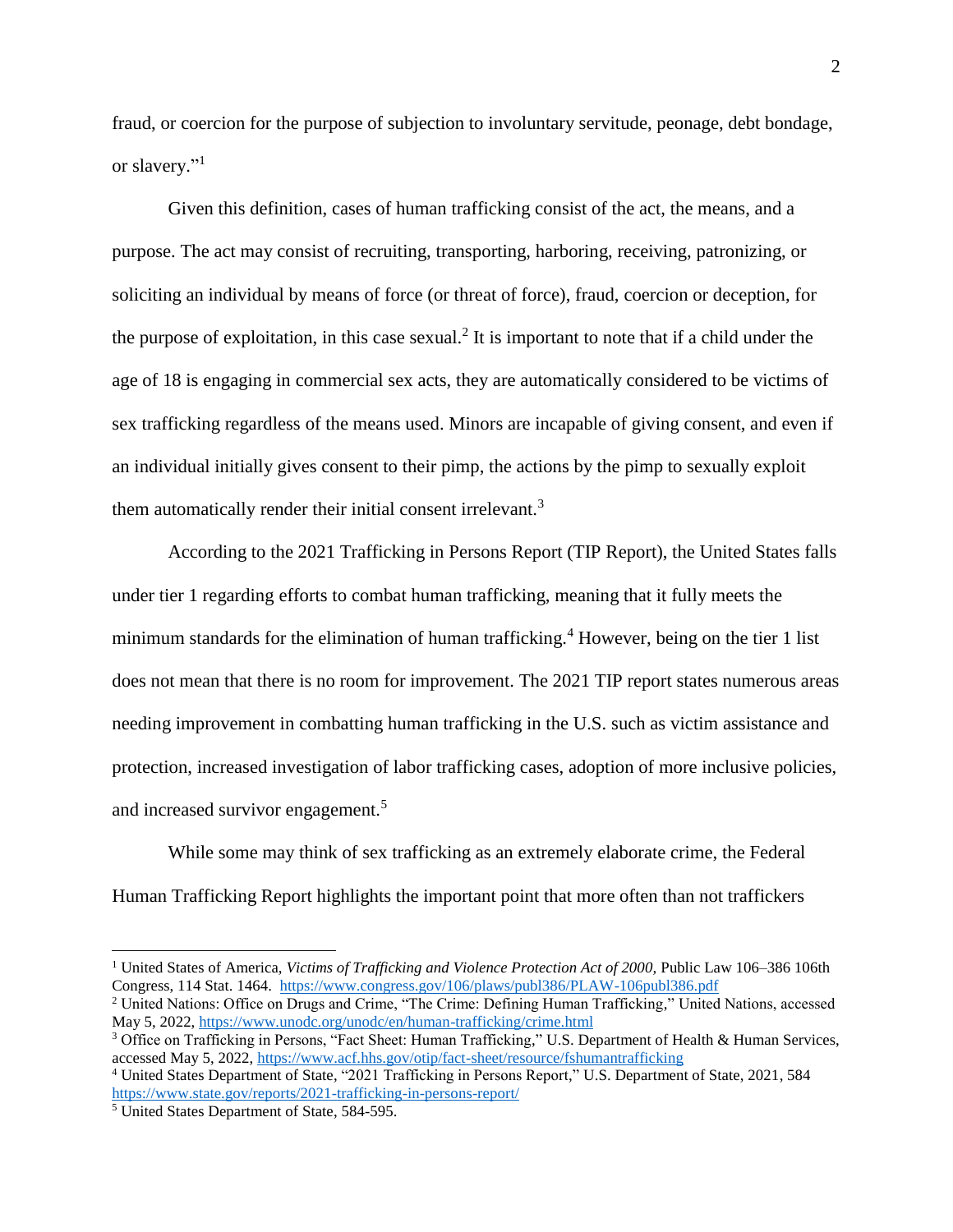fraud, or coercion for the purpose of subjection to involuntary servitude, peonage, debt bondage, or slavery."<sup>1</sup>

Given this definition, cases of human trafficking consist of the act, the means, and a purpose. The act may consist of recruiting, transporting, harboring, receiving, patronizing, or soliciting an individual by means of force (or threat of force), fraud, coercion or deception, for the purpose of exploitation, in this case sexual.<sup>2</sup> It is important to note that if a child under the age of 18 is engaging in commercial sex acts, they are automatically considered to be victims of sex trafficking regardless of the means used. Minors are incapable of giving consent, and even if an individual initially gives consent to their pimp, the actions by the pimp to sexually exploit them automatically render their initial consent irrelevant.<sup>3</sup>

According to the 2021 Trafficking in Persons Report (TIP Report), the United States falls under tier 1 regarding efforts to combat human trafficking, meaning that it fully meets the minimum standards for the elimination of human trafficking.<sup>4</sup> However, being on the tier 1 list does not mean that there is no room for improvement. The 2021 TIP report states numerous areas needing improvement in combatting human trafficking in the U.S. such as victim assistance and protection, increased investigation of labor trafficking cases, adoption of more inclusive policies, and increased survivor engagement.<sup>5</sup>

While some may think of sex trafficking as an extremely elaborate crime, the Federal Human Trafficking Report highlights the important point that more often than not traffickers

<sup>1</sup> United States of America, *Victims of Trafficking and Violence Protection Act of 2000,* Public Law 106–386 106th Congress, 114 Stat. 1464. <https://www.congress.gov/106/plaws/publ386/PLAW-106publ386.pdf>

<sup>2</sup> United Nations: Office on Drugs and Crime, "The Crime: Defining Human Trafficking," United Nations, accessed May 5, 2022,<https://www.unodc.org/unodc/en/human-trafficking/crime.html>

<sup>3</sup> Office on Trafficking in Persons, "Fact Sheet: Human Trafficking," U.S. Department of Health & Human Services, accessed May 5, 2022, <https://www.acf.hhs.gov/otip/fact-sheet/resource/fshumantrafficking>

<sup>4</sup> United States Department of State, "2021 Trafficking in Persons Report," U.S. Department of State, 2021, 584 <https://www.state.gov/reports/2021-trafficking-in-persons-report/>

<sup>5</sup> United States Department of State, 584-595.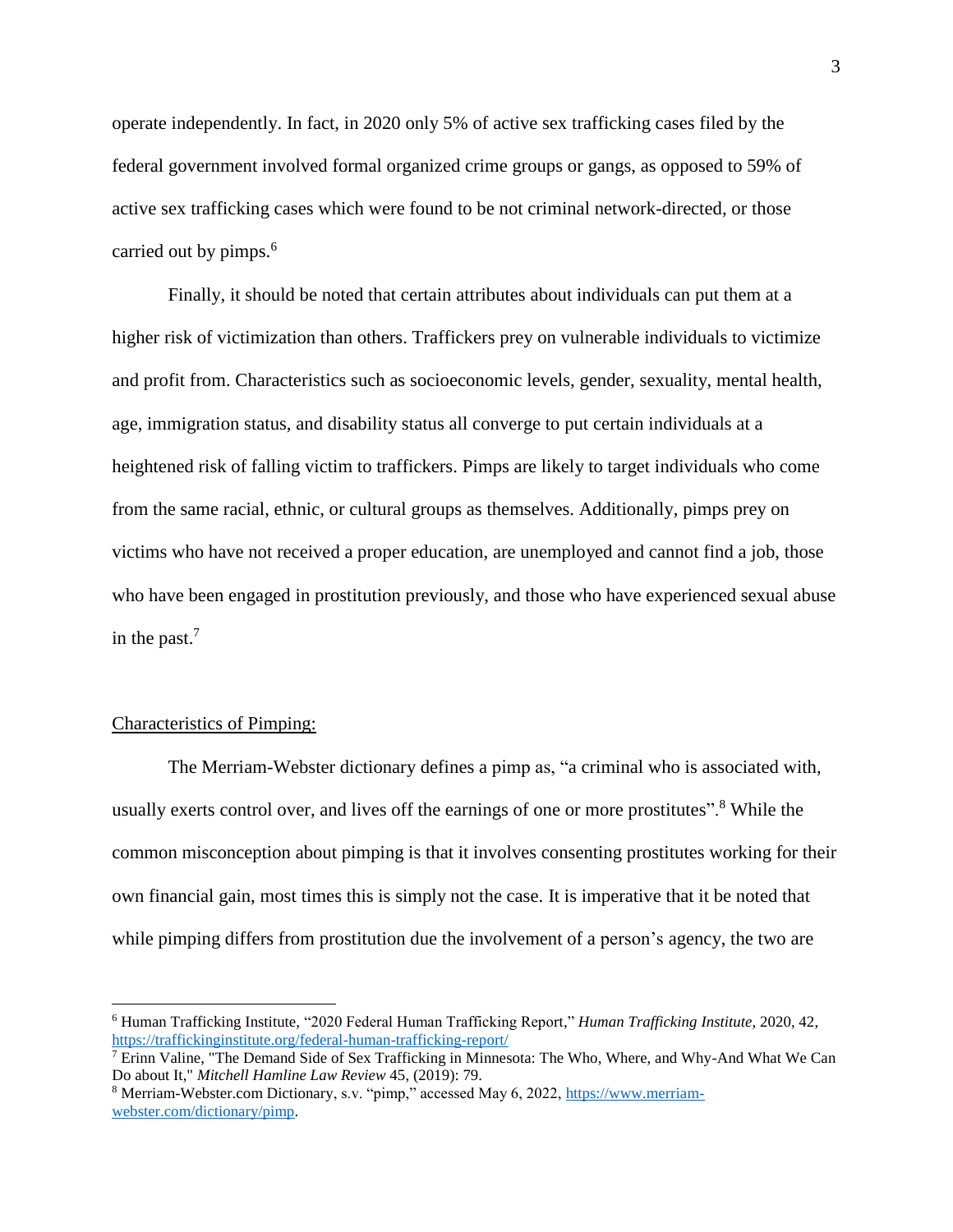operate independently. In fact, in 2020 only 5% of active sex trafficking cases filed by the federal government involved formal organized crime groups or gangs, as opposed to 59% of active sex trafficking cases which were found to be not criminal network-directed, or those carried out by pimps.<sup>6</sup>

Finally, it should be noted that certain attributes about individuals can put them at a higher risk of victimization than others. Traffickers prey on vulnerable individuals to victimize and profit from. Characteristics such as socioeconomic levels, gender, sexuality, mental health, age, immigration status, and disability status all converge to put certain individuals at a heightened risk of falling victim to traffickers. Pimps are likely to target individuals who come from the same racial, ethnic, or cultural groups as themselves. Additionally, pimps prey on victims who have not received a proper education, are unemployed and cannot find a job, those who have been engaged in prostitution previously, and those who have experienced sexual abuse in the past.<sup>7</sup>

## Characteristics of Pimping:

 $\overline{a}$ 

The Merriam-Webster dictionary defines a pimp as, "a criminal who is associated with, usually exerts control over, and lives off the earnings of one or more prostitutes".<sup>8</sup> While the common misconception about pimping is that it involves consenting prostitutes working for their own financial gain, most times this is simply not the case. It is imperative that it be noted that while pimping differs from prostitution due the involvement of a person's agency, the two are

<sup>6</sup> Human Trafficking Institute, "2020 Federal Human Trafficking Report," *Human Trafficking Institute,* 2020, 42, <https://traffickinginstitute.org/federal-human-trafficking-report/>

 $^7$  Erinn Valine, "The Demand Side of Sex Trafficking in Minnesota: The Who, Where, and Why-And What We Can Do about It," *Mitchell Hamline Law Review* 45, (2019): 79.

<sup>&</sup>lt;sup>8</sup> Merriam-Webster.com Dictionary, s.v. "pimp," accessed May 6, 2022, [https://www.merriam](https://www.merriam-webster.com/dictionary/pimp)[webster.com/dictionary/pimp.](https://www.merriam-webster.com/dictionary/pimp)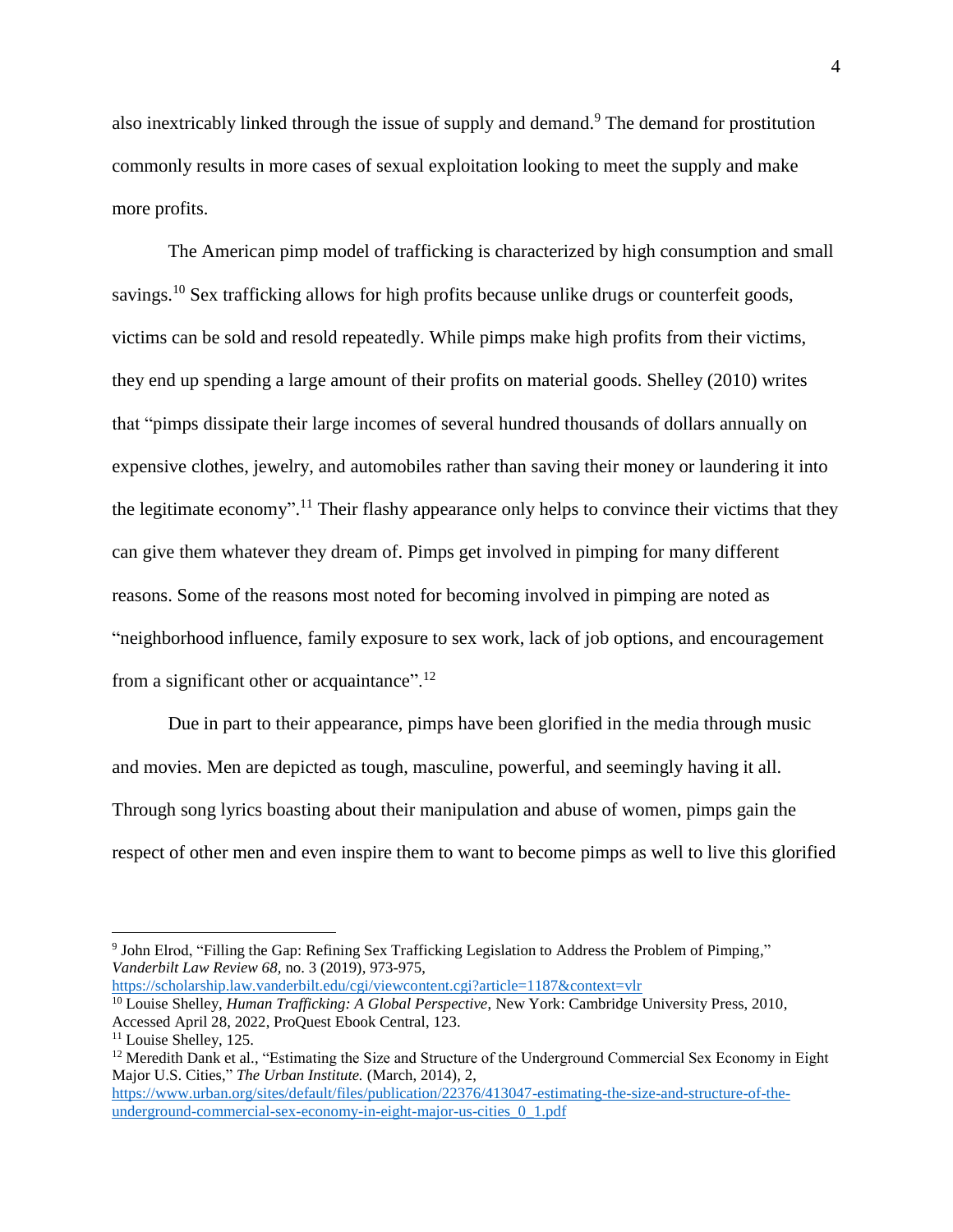also inextricably linked through the issue of supply and demand.<sup>9</sup> The demand for prostitution commonly results in more cases of sexual exploitation looking to meet the supply and make more profits.

The American pimp model of trafficking is characterized by high consumption and small savings.<sup>10</sup> Sex trafficking allows for high profits because unlike drugs or counterfeit goods, victims can be sold and resold repeatedly. While pimps make high profits from their victims, they end up spending a large amount of their profits on material goods. Shelley (2010) writes that "pimps dissipate their large incomes of several hundred thousands of dollars annually on expensive clothes, jewelry, and automobiles rather than saving their money or laundering it into the legitimate economy".<sup>11</sup> Their flashy appearance only helps to convince their victims that they can give them whatever they dream of. Pimps get involved in pimping for many different reasons. Some of the reasons most noted for becoming involved in pimping are noted as "neighborhood influence, family exposure to sex work, lack of job options, and encouragement from a significant other or acquaintance". $12$ 

Due in part to their appearance, pimps have been glorified in the media through music and movies. Men are depicted as tough, masculine, powerful, and seemingly having it all. Through song lyrics boasting about their manipulation and abuse of women, pimps gain the respect of other men and even inspire them to want to become pimps as well to live this glorified

<sup>&</sup>lt;sup>9</sup> John Elrod, "Filling the Gap: Refining Sex Trafficking Legislation to Address the Problem of Pimping," *Vanderbilt Law Review 68,* no. 3 (2019), 973-975, <https://scholarship.law.vanderbilt.edu/cgi/viewcontent.cgi?article=1187&context=vlr>

<sup>10</sup> Louise Shelley, *Human Trafficking: A Global Perspective*, New York: Cambridge University Press, 2010, Accessed April 28, 2022, ProQuest Ebook Central, 123.

<sup>&</sup>lt;sup>11</sup> Louise Shelley, 125.

<sup>&</sup>lt;sup>12</sup> Meredith Dank et al., "Estimating the Size and Structure of the Underground Commercial Sex Economy in Eight Major U.S. Cities," *The Urban Institute.* (March, 2014), 2,

[https://www.urban.org/sites/default/files/publication/22376/413047-estimating-the-size-and-structure-of-the](https://www.urban.org/sites/default/files/publication/22376/413047-estimating-the-size-and-structure-of-the-underground-commercial-sex-economy-in-eight-major-us-cities_0_1.pdf)[underground-commercial-sex-economy-in-eight-major-us-cities\\_0\\_1.pdf](https://www.urban.org/sites/default/files/publication/22376/413047-estimating-the-size-and-structure-of-the-underground-commercial-sex-economy-in-eight-major-us-cities_0_1.pdf)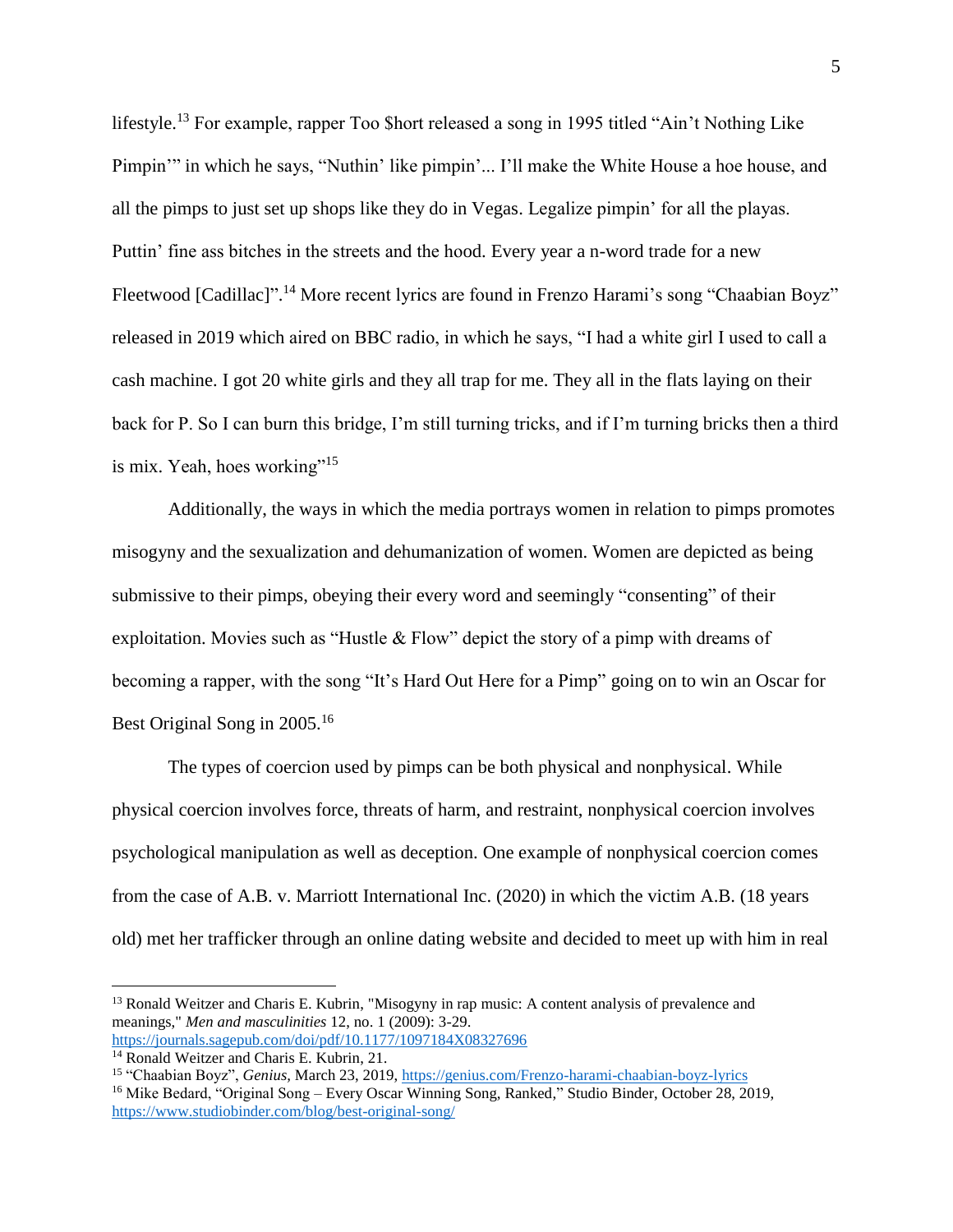lifestyle.<sup>13</sup> For example, rapper Too \$hort released a song in 1995 titled "Ain't Nothing Like Pimpin'" in which he says, "Nuthin' like pimpin'... I'll make the White House a hoe house, and all the pimps to just set up shops like they do in Vegas. Legalize pimpin' for all the playas. Puttin' fine ass bitches in the streets and the hood. Every year a n-word trade for a new Fleetwood [Cadillac]"<sup>14</sup> More recent lyrics are found in Frenzo Harami's song "Chaabian Boyz" released in 2019 which aired on BBC radio, in which he says, "I had a white girl I used to call a cash machine. I got 20 white girls and they all trap for me. They all in the flats laying on their back for P. So I can burn this bridge, I'm still turning tricks, and if I'm turning bricks then a third is mix. Yeah, hoes working"<sup>15</sup>

Additionally, the ways in which the media portrays women in relation to pimps promotes misogyny and the sexualization and dehumanization of women. Women are depicted as being submissive to their pimps, obeying their every word and seemingly "consenting" of their exploitation. Movies such as "Hustle & Flow" depict the story of a pimp with dreams of becoming a rapper, with the song "It's Hard Out Here for a Pimp" going on to win an Oscar for Best Original Song in 2005.<sup>16</sup>

The types of coercion used by pimps can be both physical and nonphysical. While physical coercion involves force, threats of harm, and restraint, nonphysical coercion involves psychological manipulation as well as deception. One example of nonphysical coercion comes from the case of A.B. v. Marriott International Inc. (2020) in which the victim A.B. (18 years old) met her trafficker through an online dating website and decided to meet up with him in real

<sup>13</sup> Ronald Weitzer and Charis E. Kubrin, "Misogyny in rap music: A content analysis of prevalence and meanings," *Men and masculinities* 12, no. 1 (2009): 3-29. <https://journals.sagepub.com/doi/pdf/10.1177/1097184X08327696>

<sup>&</sup>lt;sup>14</sup> Ronald Weitzer and Charis E. Kubrin, 21.

<sup>15</sup> "Chaabian Boyz", *Genius,* March 23, 2019, <https://genius.com/Frenzo-harami-chaabian-boyz-lyrics> <sup>16</sup> Mike Bedard, "Original Song – Every Oscar Winning Song, Ranked," Studio Binder, October 28, 2019, <https://www.studiobinder.com/blog/best-original-song/>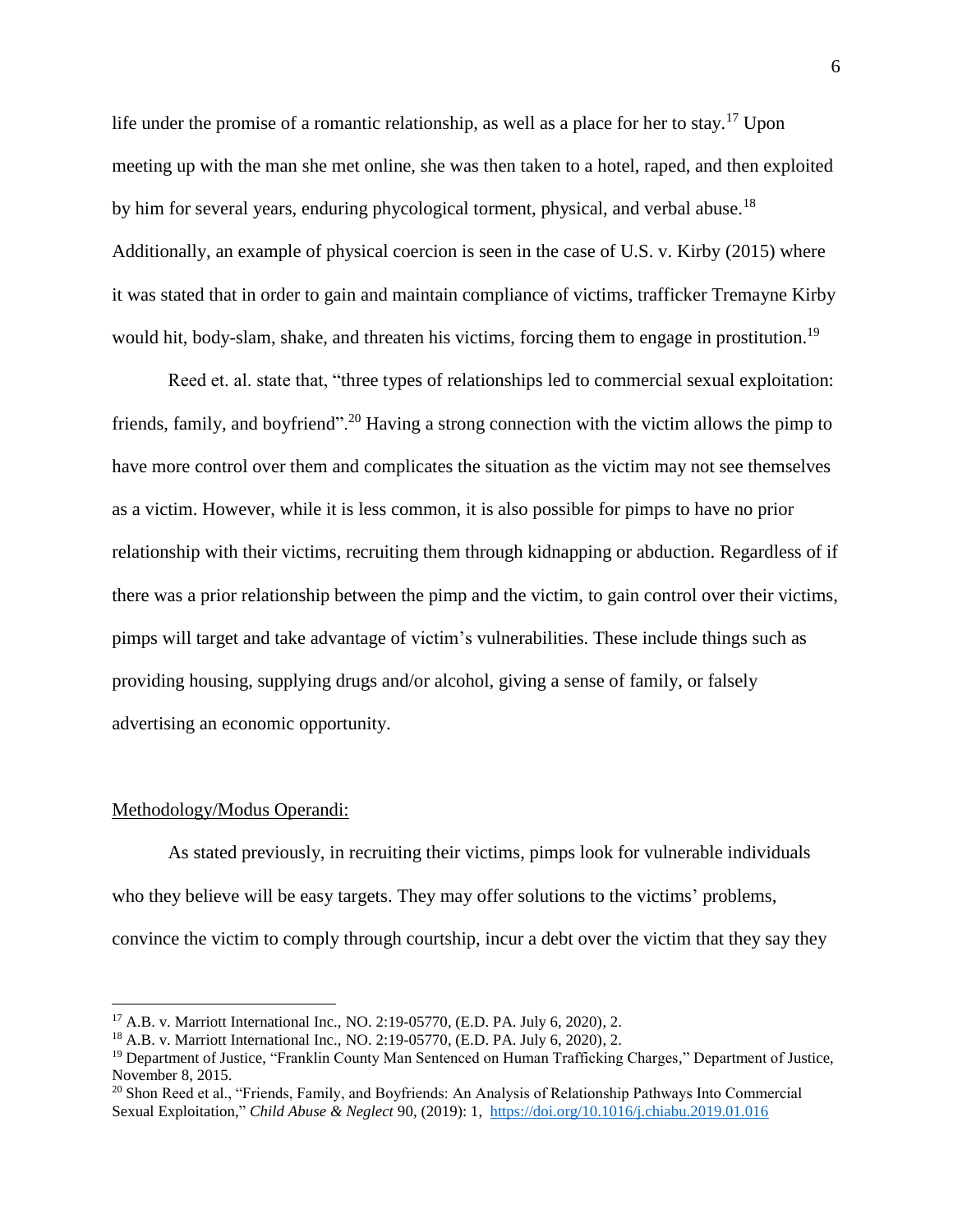life under the promise of a romantic relationship, as well as a place for her to stay.<sup>17</sup> Upon meeting up with the man she met online, she was then taken to a hotel, raped, and then exploited by him for several years, enduring phycological torment, physical, and verbal abuse.<sup>18</sup> Additionally, an example of physical coercion is seen in the case of U.S. v. Kirby (2015) where it was stated that in order to gain and maintain compliance of victims, trafficker Tremayne Kirby would hit, body-slam, shake, and threaten his victims, forcing them to engage in prostitution.<sup>19</sup>

Reed et. al. state that, "three types of relationships led to commercial sexual exploitation: friends, family, and boyfriend".<sup>20</sup> Having a strong connection with the victim allows the pimp to have more control over them and complicates the situation as the victim may not see themselves as a victim. However, while it is less common, it is also possible for pimps to have no prior relationship with their victims, recruiting them through kidnapping or abduction. Regardless of if there was a prior relationship between the pimp and the victim, to gain control over their victims, pimps will target and take advantage of victim's vulnerabilities. These include things such as providing housing, supplying drugs and/or alcohol, giving a sense of family, or falsely advertising an economic opportunity.

#### Methodology/Modus Operandi:

 $\overline{a}$ 

As stated previously, in recruiting their victims, pimps look for vulnerable individuals who they believe will be easy targets. They may offer solutions to the victims' problems, convince the victim to comply through courtship, incur a debt over the victim that they say they

<sup>17</sup> A.B. v. Marriott International Inc., NO. 2:19-05770, (E.D. PA. July 6, 2020), 2.

<sup>18</sup> A.B. v. Marriott International Inc., NO. 2:19-05770, (E.D. PA. July 6, 2020), 2.

<sup>&</sup>lt;sup>19</sup> Department of Justice, "Franklin County Man Sentenced on Human Trafficking Charges," Department of Justice, November 8, 2015.

<sup>&</sup>lt;sup>20</sup> Shon Reed et al., "Friends, Family, and Boyfriends: An Analysis of Relationship Pathways Into Commercial Sexual Exploitation," *Child Abuse & Neglect* 90*,* (2019): 1, <https://doi.org/10.1016/j.chiabu.2019.01.016>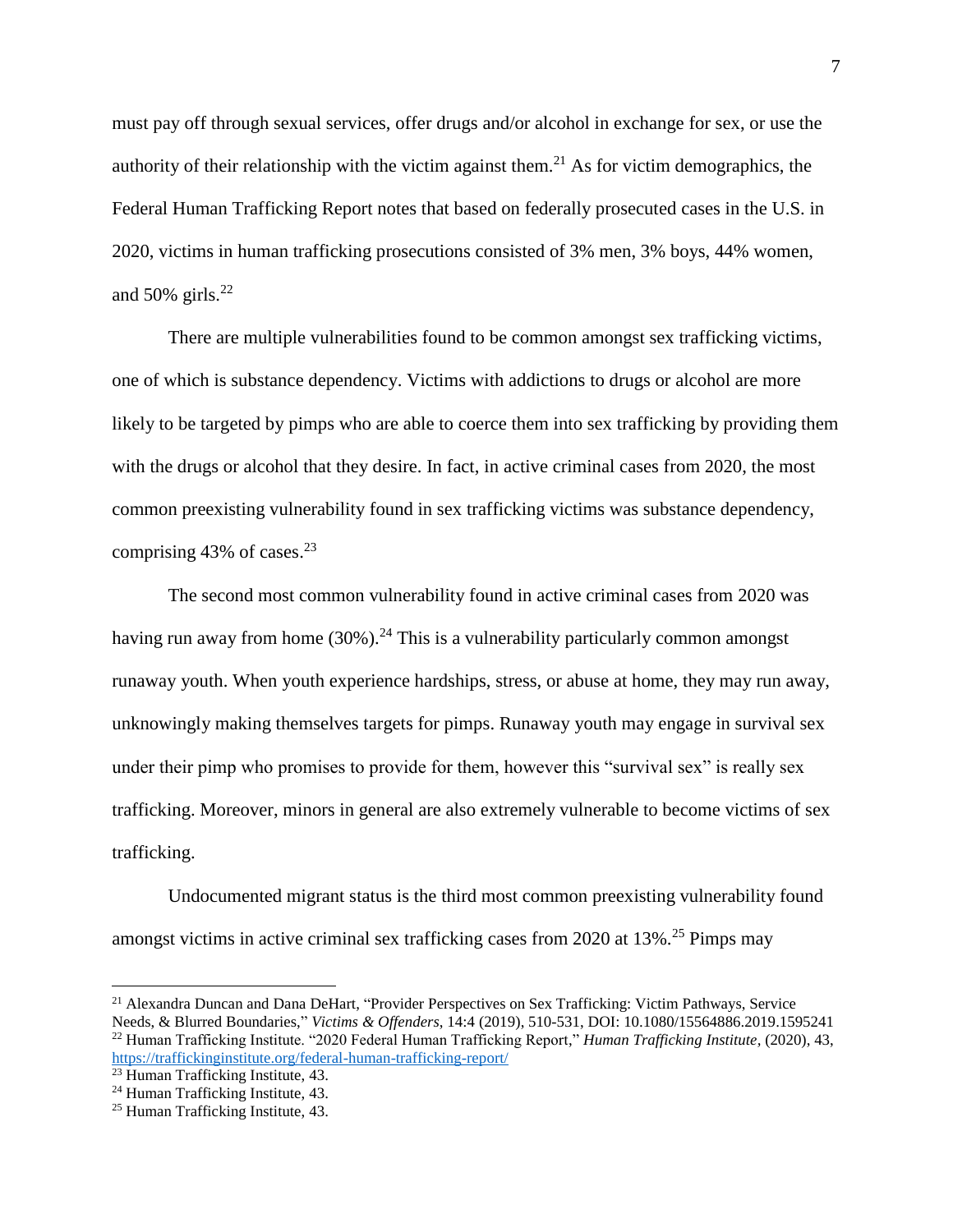must pay off through sexual services, offer drugs and/or alcohol in exchange for sex, or use the authority of their relationship with the victim against them.<sup>21</sup> As for victim demographics, the Federal Human Trafficking Report notes that based on federally prosecuted cases in the U.S. in 2020, victims in human trafficking prosecutions consisted of 3% men, 3% boys, 44% women, and 50% girls. $^{22}$ 

There are multiple vulnerabilities found to be common amongst sex trafficking victims, one of which is substance dependency. Victims with addictions to drugs or alcohol are more likely to be targeted by pimps who are able to coerce them into sex trafficking by providing them with the drugs or alcohol that they desire. In fact, in active criminal cases from 2020, the most common preexisting vulnerability found in sex trafficking victims was substance dependency, comprising  $43\%$  of cases.<sup>23</sup>

The second most common vulnerability found in active criminal cases from 2020 was having run away from home  $(30\%)$ .<sup>24</sup> This is a vulnerability particularly common amongst runaway youth. When youth experience hardships, stress, or abuse at home, they may run away, unknowingly making themselves targets for pimps. Runaway youth may engage in survival sex under their pimp who promises to provide for them, however this "survival sex" is really sex trafficking. Moreover, minors in general are also extremely vulnerable to become victims of sex trafficking.

Undocumented migrant status is the third most common preexisting vulnerability found amongst victims in active criminal sex trafficking cases from 2020 at 13%.<sup>25</sup> Pimps may

<sup>21</sup> Alexandra Duncan and Dana DeHart, "Provider Perspectives on Sex Trafficking: Victim Pathways, Service Needs, & Blurred Boundaries," *Victims & Offenders*, 14:4 (2019), 510-531, DOI: 10.1080/15564886.2019.1595241

<sup>22</sup> Human Trafficking Institute. "2020 Federal Human Trafficking Report," *Human Trafficking Institute,* (2020), 43, <https://traffickinginstitute.org/federal-human-trafficking-report/>

<sup>&</sup>lt;sup>23</sup> Human Trafficking Institute, 43.

<sup>24</sup> Human Trafficking Institute, 43.

<sup>25</sup> Human Trafficking Institute, 43.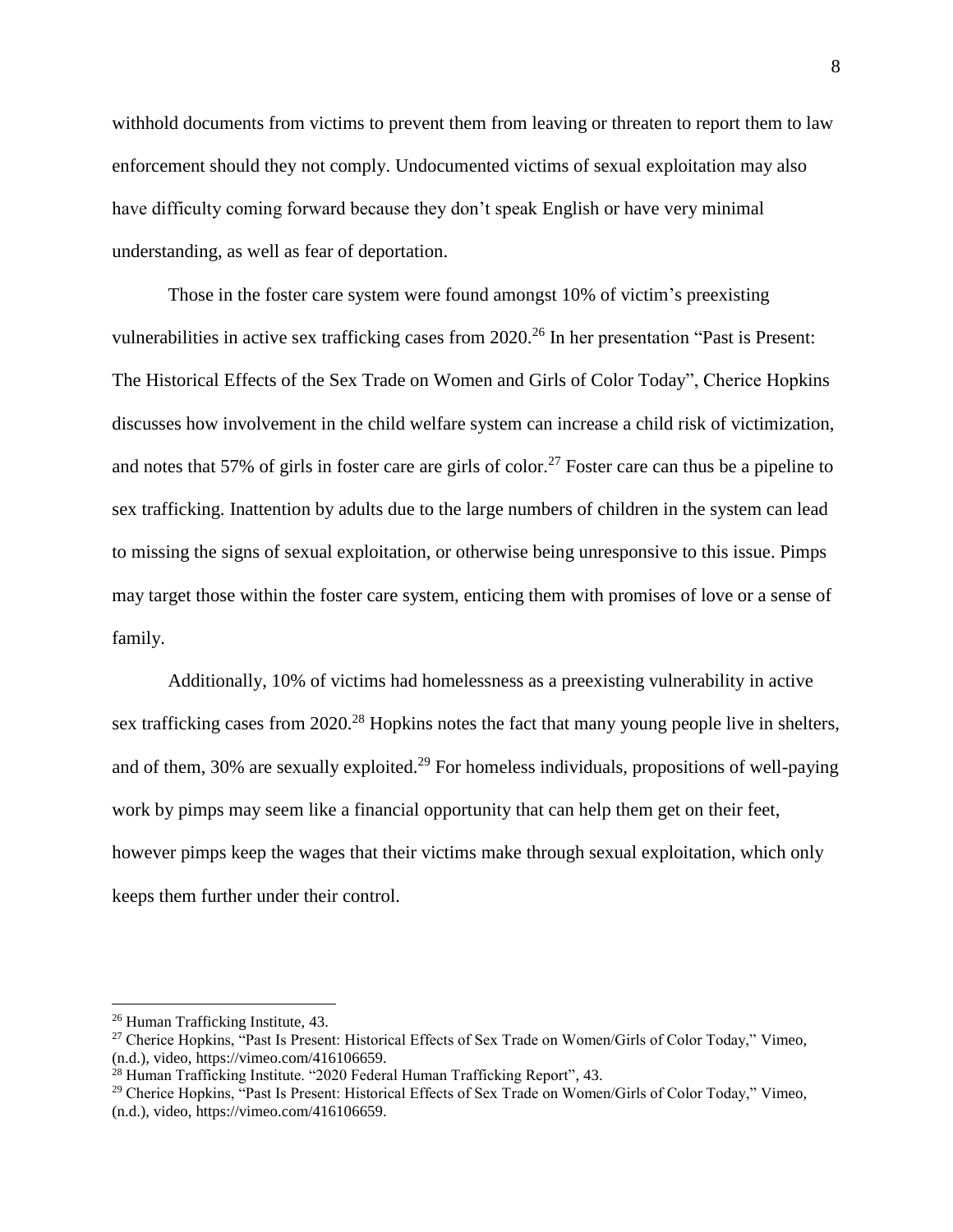withhold documents from victims to prevent them from leaving or threaten to report them to law enforcement should they not comply. Undocumented victims of sexual exploitation may also have difficulty coming forward because they don't speak English or have very minimal understanding, as well as fear of deportation.

Those in the foster care system were found amongst 10% of victim's preexisting vulnerabilities in active sex trafficking cases from 2020.<sup>26</sup> In her presentation "Past is Present: The Historical Effects of the Sex Trade on Women and Girls of Color Today", Cherice Hopkins discusses how involvement in the child welfare system can increase a child risk of victimization, and notes that 57% of girls in foster care are girls of color.<sup>27</sup> Foster care can thus be a pipeline to sex trafficking. Inattention by adults due to the large numbers of children in the system can lead to missing the signs of sexual exploitation, or otherwise being unresponsive to this issue. Pimps may target those within the foster care system, enticing them with promises of love or a sense of family.

Additionally, 10% of victims had homelessness as a preexisting vulnerability in active sex trafficking cases from 2020.<sup>28</sup> Hopkins notes the fact that many young people live in shelters, and of them, 30% are sexually exploited.<sup>29</sup> For homeless individuals, propositions of well-paying work by pimps may seem like a financial opportunity that can help them get on their feet, however pimps keep the wages that their victims make through sexual exploitation, which only keeps them further under their control.

<sup>26</sup> Human Trafficking Institute, 43.

<sup>27</sup> Cherice Hopkins, "Past Is Present: Historical Effects of Sex Trade on Women/Girls of Color Today," Vimeo, (n.d.), video, https://vimeo.com/416106659.

<sup>&</sup>lt;sup>28</sup> Human Trafficking Institute. "2020 Federal Human Trafficking Report", 43.

<sup>29</sup> Cherice Hopkins, "Past Is Present: Historical Effects of Sex Trade on Women/Girls of Color Today," Vimeo, (n.d.), video, https://vimeo.com/416106659.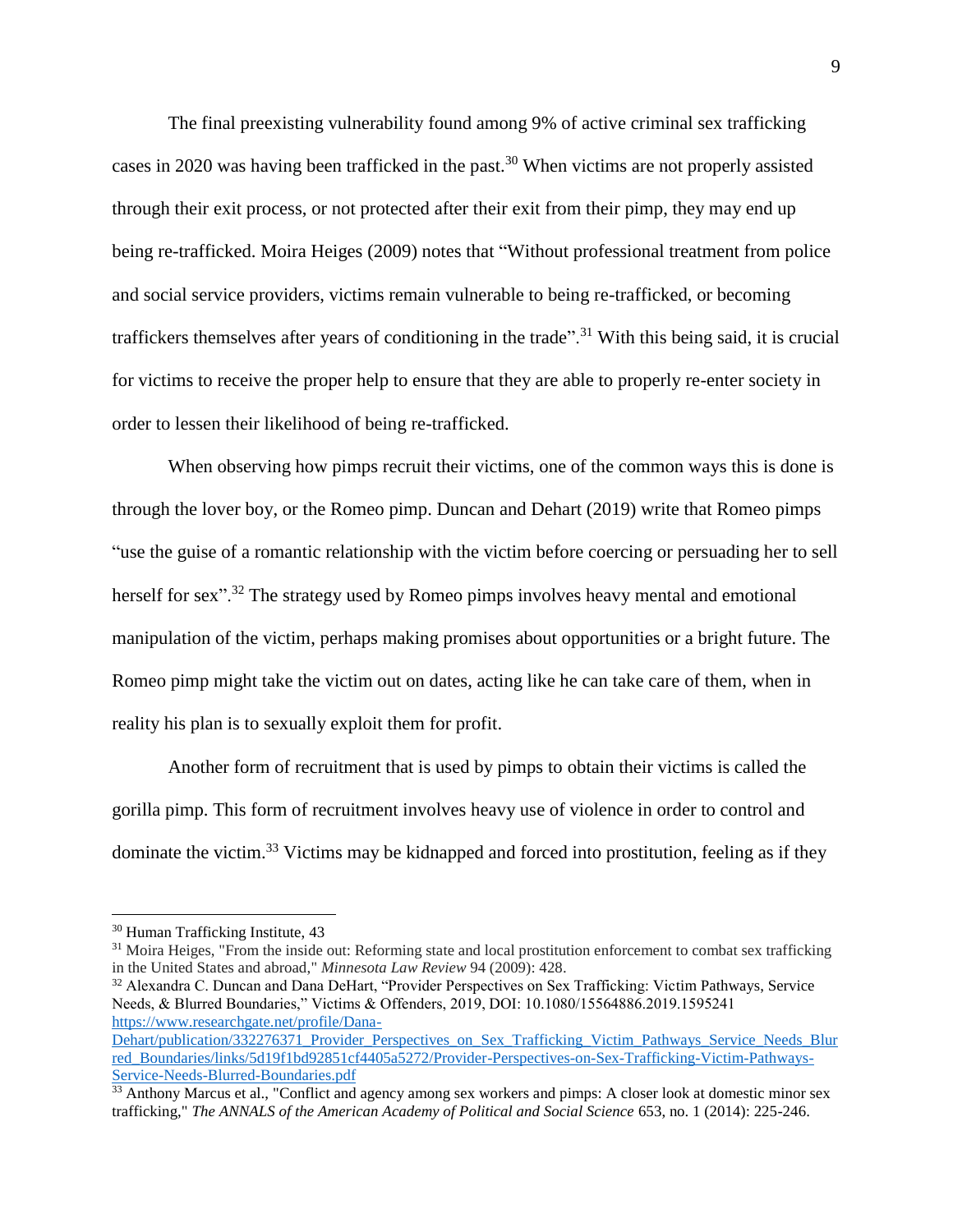The final preexisting vulnerability found among 9% of active criminal sex trafficking cases in 2020 was having been trafficked in the past.<sup>30</sup> When victims are not properly assisted through their exit process, or not protected after their exit from their pimp, they may end up being re-trafficked. Moira Heiges (2009) notes that "Without professional treatment from police and social service providers, victims remain vulnerable to being re-trafficked, or becoming traffickers themselves after years of conditioning in the trade".<sup>31</sup> With this being said, it is crucial for victims to receive the proper help to ensure that they are able to properly re-enter society in order to lessen their likelihood of being re-trafficked.

When observing how pimps recruit their victims, one of the common ways this is done is through the lover boy, or the Romeo pimp. Duncan and Dehart (2019) write that Romeo pimps "use the guise of a romantic relationship with the victim before coercing or persuading her to sell herself for sex"<sup>32</sup>. The strategy used by Romeo pimps involves heavy mental and emotional manipulation of the victim, perhaps making promises about opportunities or a bright future. The Romeo pimp might take the victim out on dates, acting like he can take care of them, when in reality his plan is to sexually exploit them for profit.

Another form of recruitment that is used by pimps to obtain their victims is called the gorilla pimp. This form of recruitment involves heavy use of violence in order to control and dominate the victim.<sup>33</sup> Victims may be kidnapped and forced into prostitution, feeling as if they

<sup>30</sup> Human Trafficking Institute, 43

<sup>&</sup>lt;sup>31</sup> Moira Heiges, "From the inside out: Reforming state and local prostitution enforcement to combat sex trafficking in the United States and abroad," *Minnesota Law Review* 94 (2009): 428.

<sup>&</sup>lt;sup>32</sup> Alexandra C. Duncan and Dana DeHart, "Provider Perspectives on Sex Trafficking: Victim Pathways, Service Needs, & Blurred Boundaries," Victims & Offenders, 2019, DOI: 10.1080/15564886.2019.1595241 [https://www.researchgate.net/profile/Dana-](https://www.researchgate.net/profile/Dana-Dehart/publication/332276371_Provider_Perspectives_on_Sex_Trafficking_Victim_Pathways_Service_Needs_Blurred_Boundaries/links/5d19f1bd92851cf4405a5272/Provider-Perspectives-on-Sex-Trafficking-Victim-Pathways-Service-Needs-Blurred-Boundaries.pdf)

[Dehart/publication/332276371\\_Provider\\_Perspectives\\_on\\_Sex\\_Trafficking\\_Victim\\_Pathways\\_Service\\_Needs\\_Blur](https://www.researchgate.net/profile/Dana-Dehart/publication/332276371_Provider_Perspectives_on_Sex_Trafficking_Victim_Pathways_Service_Needs_Blurred_Boundaries/links/5d19f1bd92851cf4405a5272/Provider-Perspectives-on-Sex-Trafficking-Victim-Pathways-Service-Needs-Blurred-Boundaries.pdf) [red\\_Boundaries/links/5d19f1bd92851cf4405a5272/Provider-Perspectives-on-Sex-Trafficking-Victim-Pathways-](https://www.researchgate.net/profile/Dana-Dehart/publication/332276371_Provider_Perspectives_on_Sex_Trafficking_Victim_Pathways_Service_Needs_Blurred_Boundaries/links/5d19f1bd92851cf4405a5272/Provider-Perspectives-on-Sex-Trafficking-Victim-Pathways-Service-Needs-Blurred-Boundaries.pdf)[Service-Needs-Blurred-Boundaries.pdf](https://www.researchgate.net/profile/Dana-Dehart/publication/332276371_Provider_Perspectives_on_Sex_Trafficking_Victim_Pathways_Service_Needs_Blurred_Boundaries/links/5d19f1bd92851cf4405a5272/Provider-Perspectives-on-Sex-Trafficking-Victim-Pathways-Service-Needs-Blurred-Boundaries.pdf)

<sup>&</sup>lt;sup>33</sup> Anthony Marcus et al., "Conflict and agency among sex workers and pimps: A closer look at domestic minor sex trafficking," *The ANNALS of the American Academy of Political and Social Science* 653, no. 1 (2014): 225-246.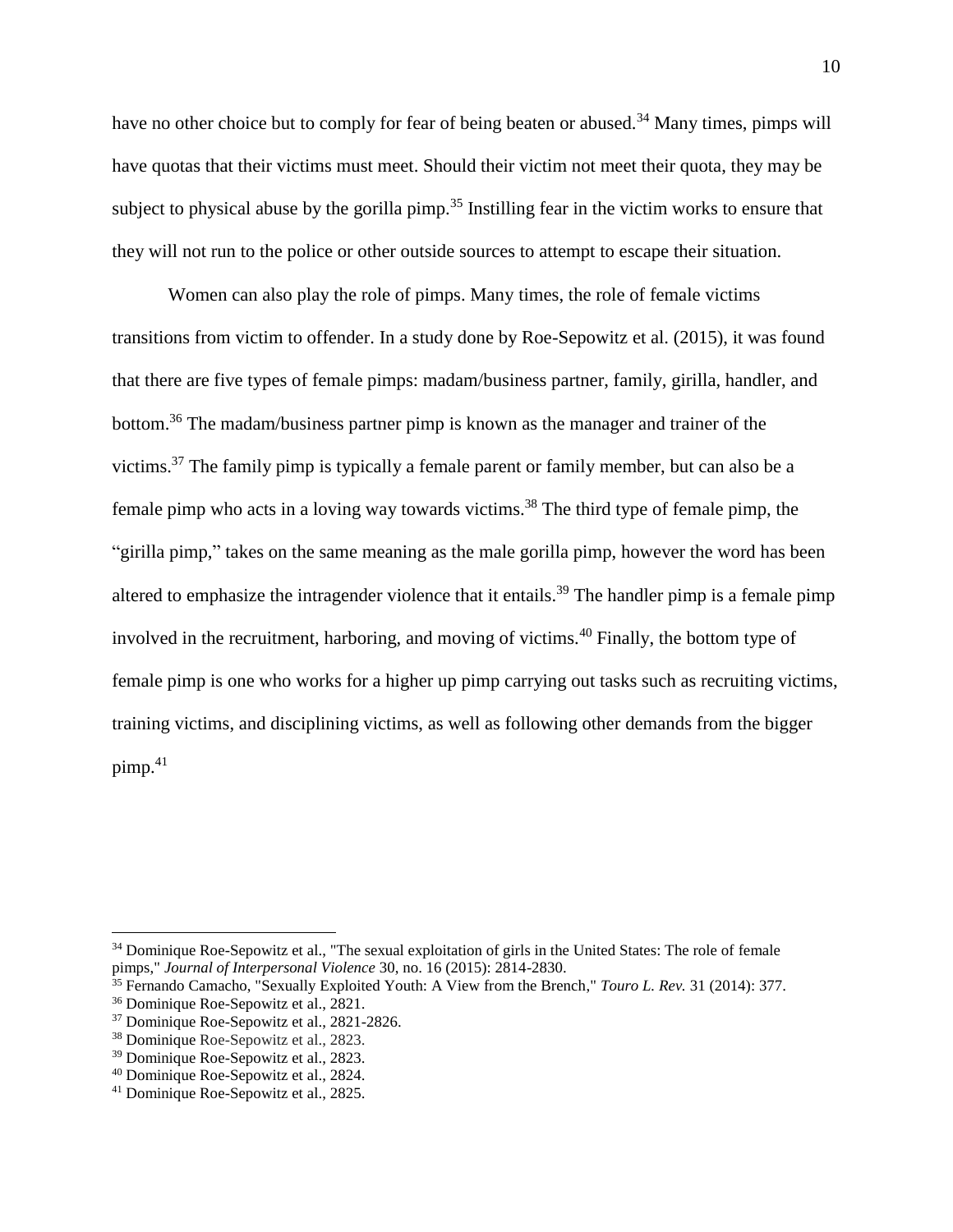have no other choice but to comply for fear of being beaten or abused.<sup>34</sup> Many times, pimps will have quotas that their victims must meet. Should their victim not meet their quota, they may be subject to physical abuse by the gorilla pimp.<sup>35</sup> Instilling fear in the victim works to ensure that they will not run to the police or other outside sources to attempt to escape their situation.

Women can also play the role of pimps. Many times, the role of female victims transitions from victim to offender. In a study done by Roe-Sepowitz et al. (2015), it was found that there are five types of female pimps: madam/business partner, family, girilla, handler, and bottom.<sup>36</sup> The madam/business partner pimp is known as the manager and trainer of the victims.<sup>37</sup> The family pimp is typically a female parent or family member, but can also be a female pimp who acts in a loving way towards victims.<sup>38</sup> The third type of female pimp, the "girilla pimp," takes on the same meaning as the male gorilla pimp, however the word has been altered to emphasize the intragender violence that it entails.<sup>39</sup> The handler pimp is a female pimp involved in the recruitment, harboring, and moving of victims.<sup>40</sup> Finally, the bottom type of female pimp is one who works for a higher up pimp carrying out tasks such as recruiting victims, training victims, and disciplining victims, as well as following other demands from the bigger  $pimp.<sup>41</sup>$ 

<sup>&</sup>lt;sup>34</sup> Dominique Roe-Sepowitz et al., "The sexual exploitation of girls in the United States: The role of female pimps," *Journal of Interpersonal Violence* 30, no. 16 (2015): 2814-2830.

<sup>35</sup> Fernando Camacho, "Sexually Exploited Youth: A View from the Brench," *Touro L. Rev.* 31 (2014): 377.

<sup>36</sup> Dominique Roe-Sepowitz et al., 2821.

<sup>&</sup>lt;sup>37</sup> Dominique Roe-Sepowitz et al., 2821-2826.

<sup>38</sup> Dominique Roe-Sepowitz et al., 2823.

<sup>39</sup> Dominique Roe-Sepowitz et al., 2823.

<sup>40</sup> Dominique Roe-Sepowitz et al., 2824.

<sup>41</sup> Dominique Roe-Sepowitz et al., 2825.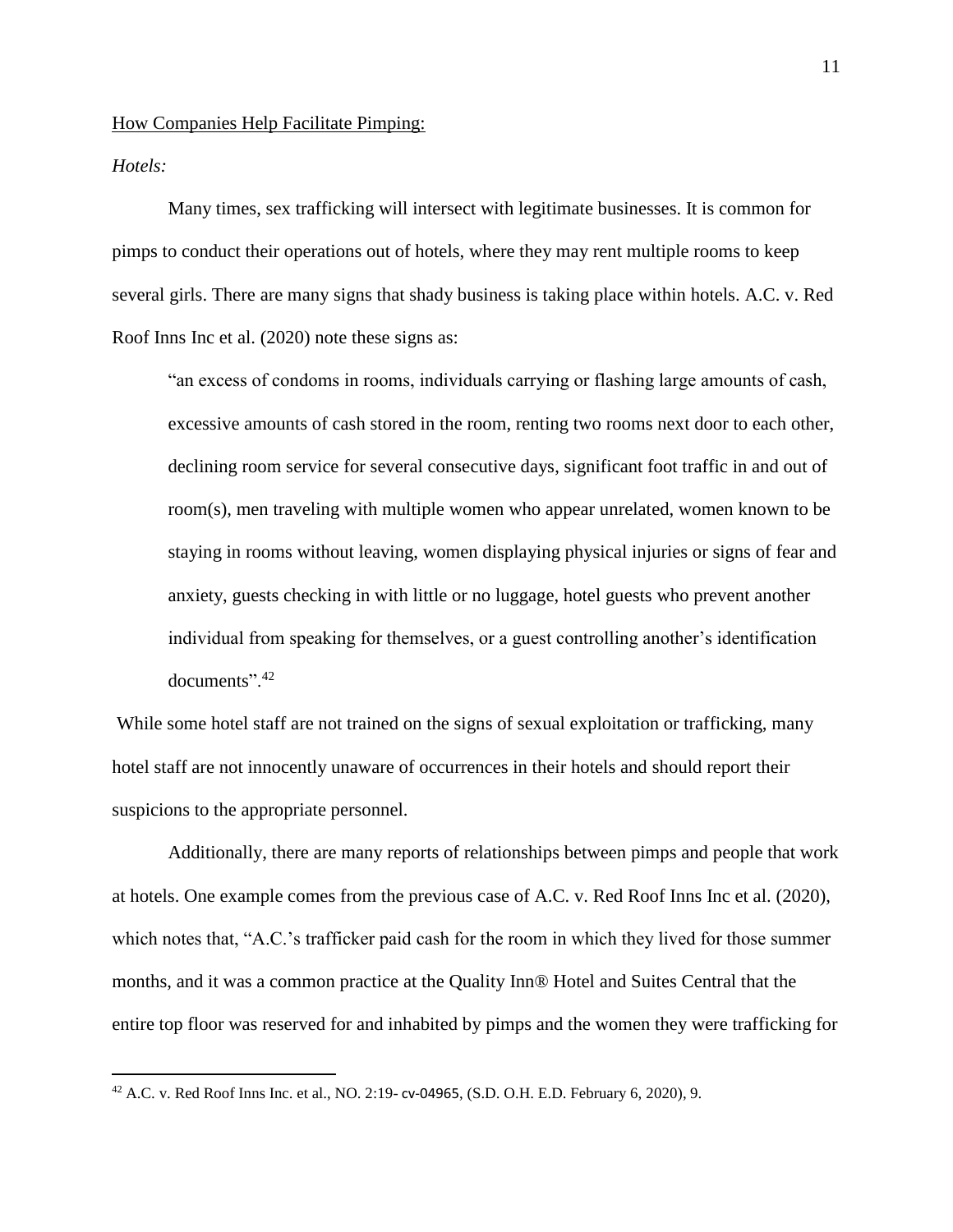How Companies Help Facilitate Pimping:

*Hotels:*

 $\overline{a}$ 

Many times, sex trafficking will intersect with legitimate businesses. It is common for pimps to conduct their operations out of hotels, where they may rent multiple rooms to keep several girls. There are many signs that shady business is taking place within hotels. A.C. v. Red Roof Inns Inc et al. (2020) note these signs as:

"an excess of condoms in rooms, individuals carrying or flashing large amounts of cash, excessive amounts of cash stored in the room, renting two rooms next door to each other, declining room service for several consecutive days, significant foot traffic in and out of room(s), men traveling with multiple women who appear unrelated, women known to be staying in rooms without leaving, women displaying physical injuries or signs of fear and anxiety, guests checking in with little or no luggage, hotel guests who prevent another individual from speaking for themselves, or a guest controlling another's identification documents".<sup>42</sup>

While some hotel staff are not trained on the signs of sexual exploitation or trafficking, many hotel staff are not innocently unaware of occurrences in their hotels and should report their suspicions to the appropriate personnel.

Additionally, there are many reports of relationships between pimps and people that work at hotels. One example comes from the previous case of A.C. v. Red Roof Inns Inc et al. (2020), which notes that, "A.C.'s trafficker paid cash for the room in which they lived for those summer months, and it was a common practice at the Quality Inn® Hotel and Suites Central that the entire top floor was reserved for and inhabited by pimps and the women they were trafficking for

<sup>42</sup> A.C. v. Red Roof Inns Inc. et al., NO. 2:19- cv-04965, (S.D. O.H. E.D. February 6, 2020), 9.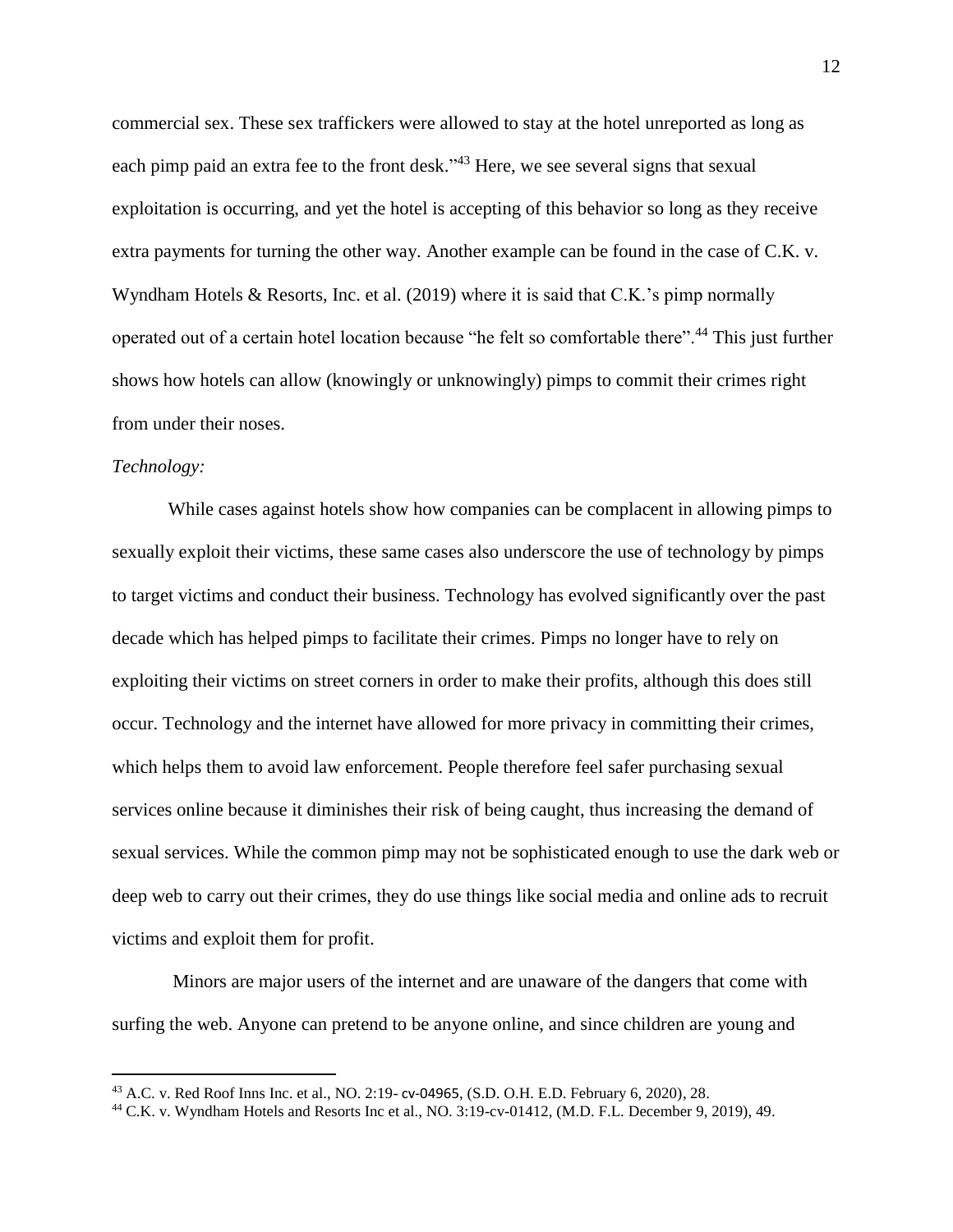commercial sex. These sex traffickers were allowed to stay at the hotel unreported as long as each pimp paid an extra fee to the front desk."<sup>43</sup> Here, we see several signs that sexual exploitation is occurring, and yet the hotel is accepting of this behavior so long as they receive extra payments for turning the other way. Another example can be found in the case of C.K. v. Wyndham Hotels & Resorts, Inc. et al. (2019) where it is said that C.K.'s pimp normally operated out of a certain hotel location because "he felt so comfortable there".<sup>44</sup> This just further shows how hotels can allow (knowingly or unknowingly) pimps to commit their crimes right from under their noses.

# *Technology:*

 $\overline{a}$ 

While cases against hotels show how companies can be complacent in allowing pimps to sexually exploit their victims, these same cases also underscore the use of technology by pimps to target victims and conduct their business. Technology has evolved significantly over the past decade which has helped pimps to facilitate their crimes. Pimps no longer have to rely on exploiting their victims on street corners in order to make their profits, although this does still occur. Technology and the internet have allowed for more privacy in committing their crimes, which helps them to avoid law enforcement. People therefore feel safer purchasing sexual services online because it diminishes their risk of being caught, thus increasing the demand of sexual services. While the common pimp may not be sophisticated enough to use the dark web or deep web to carry out their crimes, they do use things like social media and online ads to recruit victims and exploit them for profit.

Minors are major users of the internet and are unaware of the dangers that come with surfing the web. Anyone can pretend to be anyone online, and since children are young and

<sup>43</sup> A.C. v. Red Roof Inns Inc. et al., NO. 2:19- cv-04965, (S.D. O.H. E.D. February 6, 2020), 28.

<sup>44</sup> C.K. v. Wyndham Hotels and Resorts Inc et al., NO. 3:19-cv-01412, (M.D. F.L. December 9, 2019), 49.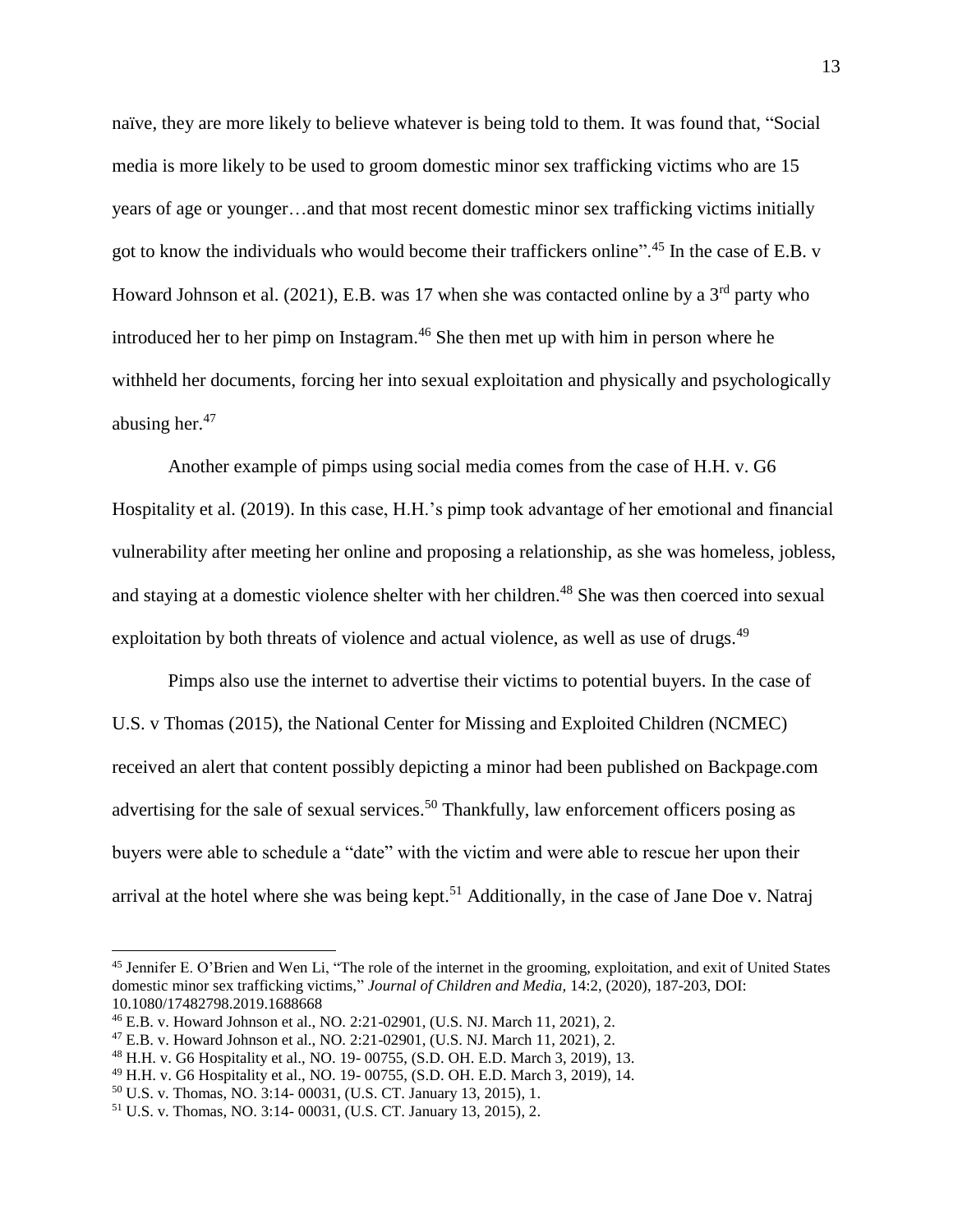naïve, they are more likely to believe whatever is being told to them. It was found that, "Social media is more likely to be used to groom domestic minor sex trafficking victims who are 15 years of age or younger…and that most recent domestic minor sex trafficking victims initially got to know the individuals who would become their traffickers online".<sup>45</sup> In the case of E.B. v Howard Johnson et al. (2021), E.B. was 17 when she was contacted online by a  $3<sup>rd</sup>$  party who introduced her to her pimp on Instagram.<sup>46</sup> She then met up with him in person where he withheld her documents, forcing her into sexual exploitation and physically and psychologically abusing her. $47$ 

Another example of pimps using social media comes from the case of H.H. v. G6 Hospitality et al. (2019). In this case, H.H.'s pimp took advantage of her emotional and financial vulnerability after meeting her online and proposing a relationship, as she was homeless, jobless, and staying at a domestic violence shelter with her children. <sup>48</sup> She was then coerced into sexual exploitation by both threats of violence and actual violence, as well as use of drugs.<sup>49</sup>

Pimps also use the internet to advertise their victims to potential buyers. In the case of U.S. v Thomas (2015), the National Center for Missing and Exploited Children (NCMEC) received an alert that content possibly depicting a minor had been published on Backpage.com advertising for the sale of sexual services.<sup>50</sup> Thankfully, law enforcement officers posing as buyers were able to schedule a "date" with the victim and were able to rescue her upon their arrival at the hotel where she was being kept.<sup>51</sup> Additionally, in the case of Jane Doe v. Natraj

<sup>45</sup> Jennifer E. O'Brien and Wen Li, "The role of the internet in the grooming, exploitation, and exit of United States domestic minor sex trafficking victims," *Journal of Children and Media,* 14:2, (2020), 187-203, DOI: 10.1080/17482798.2019.1688668

<sup>46</sup> E.B. v. Howard Johnson et al., NO. 2:21-02901, (U.S. NJ. March 11, 2021), 2.

<sup>47</sup> E.B. v. Howard Johnson et al., NO. 2:21-02901, (U.S. NJ. March 11, 2021), 2.

<sup>48</sup> H.H. v. G6 Hospitality et al., NO. 19- 00755, (S.D. OH. E.D. March 3, 2019), 13.

<sup>49</sup> H.H. v. G6 Hospitality et al., NO. 19- 00755, (S.D. OH. E.D. March 3, 2019), 14.

<sup>50</sup> U.S. v. Thomas, NO. 3:14- 00031, (U.S. CT. January 13, 2015), 1.

<sup>51</sup> U.S. v. Thomas, NO. 3:14- 00031, (U.S. CT. January 13, 2015), 2.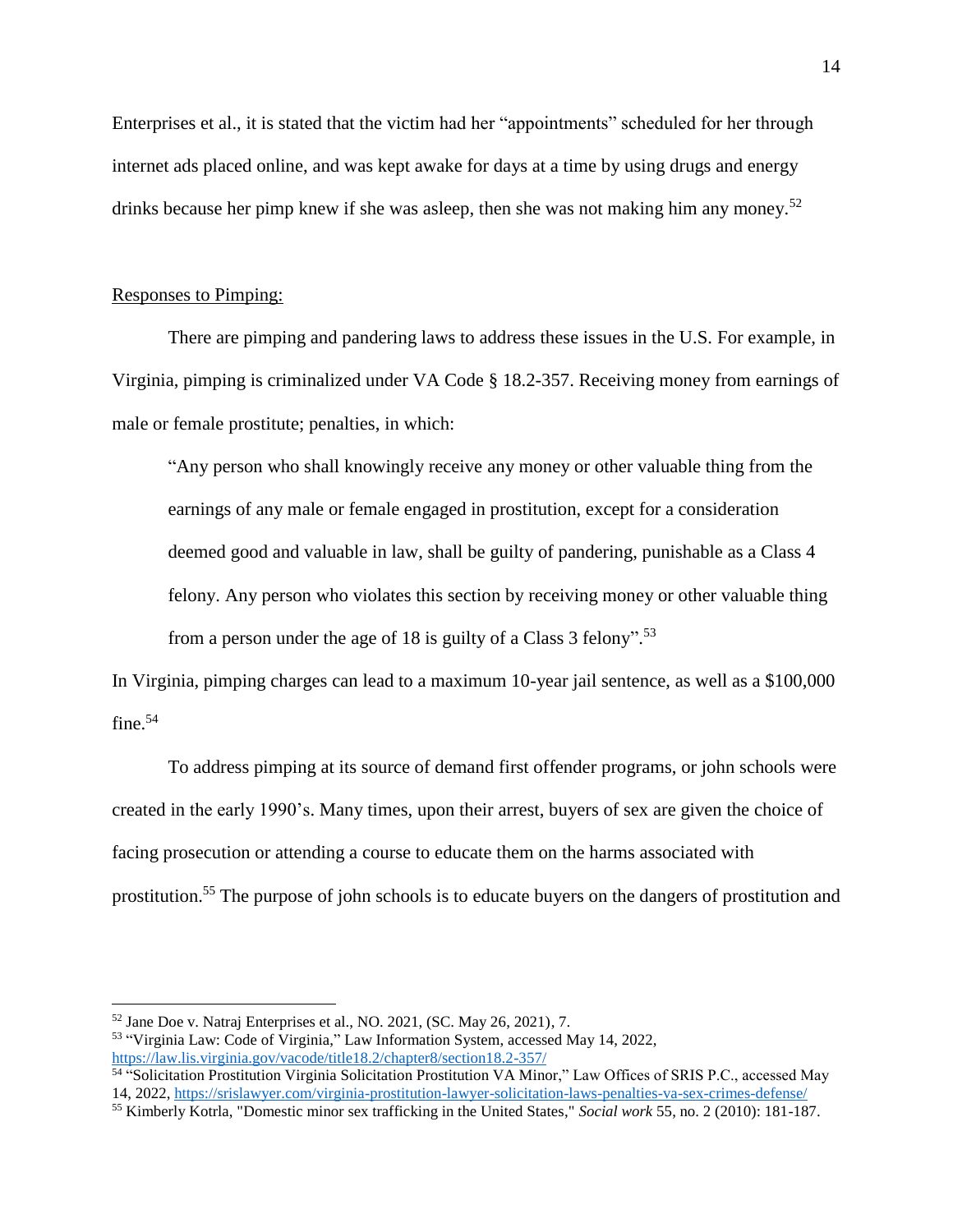Enterprises et al., it is stated that the victim had her "appointments" scheduled for her through internet ads placed online, and was kept awake for days at a time by using drugs and energy drinks because her pimp knew if she was asleep, then she was not making him any money.<sup>52</sup>

## Responses to Pimping:

 $\overline{a}$ 

There are pimping and pandering laws to address these issues in the U.S. For example, in Virginia, pimping is criminalized under VA Code § 18.2-357. Receiving money from earnings of male or female prostitute; penalties, in which:

"Any person who shall knowingly receive any money or other valuable thing from the earnings of any male or female engaged in prostitution, except for a consideration deemed good and valuable in law, shall be guilty of pandering, punishable as a Class 4 felony. Any person who violates this section by receiving money or other valuable thing from a person under the age of 18 is guilty of a Class 3 felony".<sup>53</sup>

In Virginia, pimping charges can lead to a maximum 10-year jail sentence, as well as a \$100,000 fine.<sup>54</sup>

To address pimping at its source of demand first offender programs, or john schools were created in the early 1990's. Many times, upon their arrest, buyers of sex are given the choice of facing prosecution or attending a course to educate them on the harms associated with prostitution.<sup>55</sup> The purpose of john schools is to educate buyers on the dangers of prostitution and

 $52$  Jane Doe v. Natraj Enterprises et al., NO. 2021, (SC. May 26, 2021), 7.

<sup>53</sup> "Virginia Law: Code of Virginia," Law Information System, accessed May 14, 2022, <https://law.lis.virginia.gov/vacode/title18.2/chapter8/section18.2-357/>

<sup>54</sup> "Solicitation Prostitution Virginia Solicitation Prostitution VA Minor," Law Offices of SRIS P.C., accessed May 14, 2022, <https://srislawyer.com/virginia-prostitution-lawyer-solicitation-laws-penalties-va-sex-crimes-defense/>

<sup>55</sup> Kimberly Kotrla, "Domestic minor sex trafficking in the United States," *Social work* 55, no. 2 (2010): 181-187.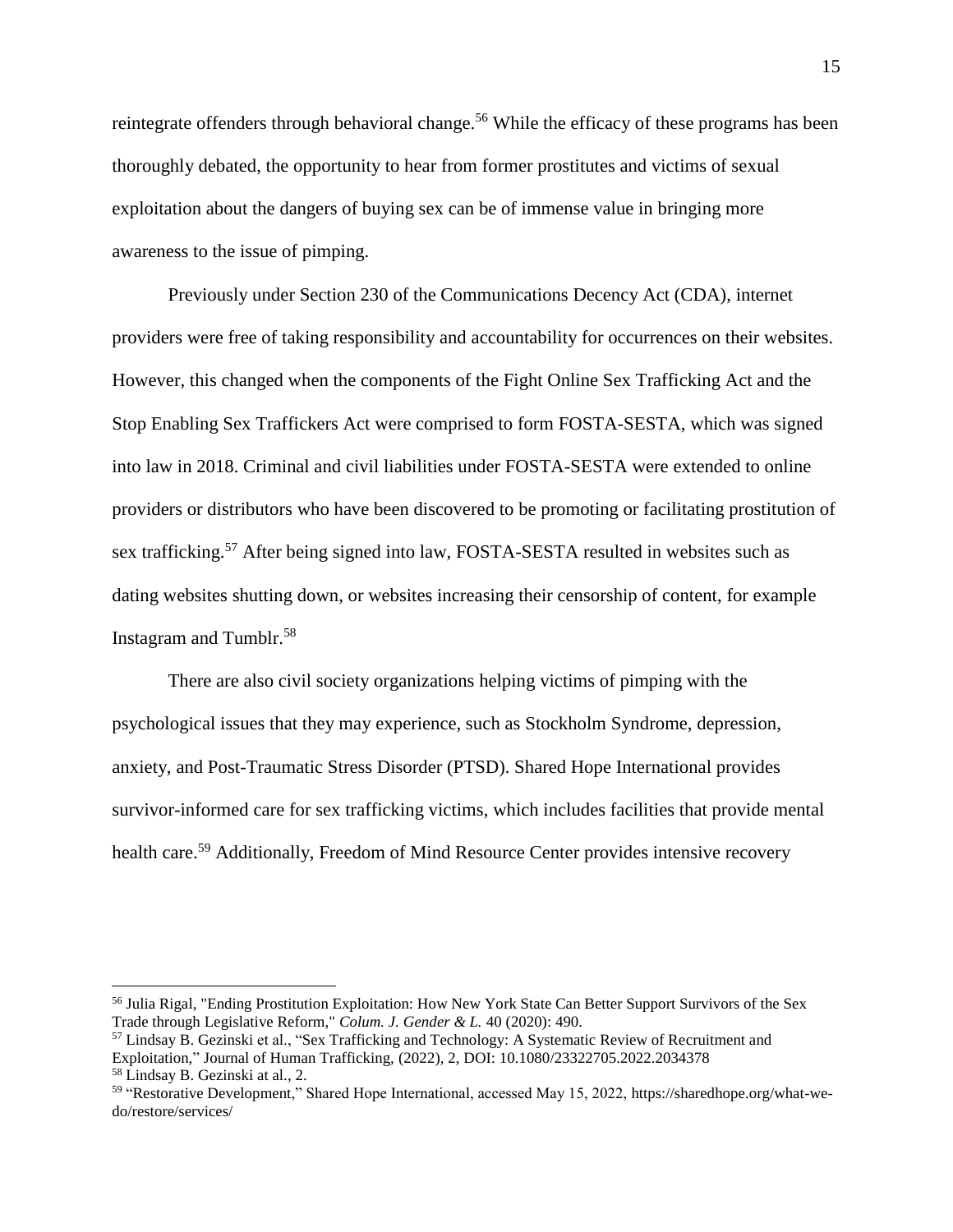reintegrate offenders through behavioral change.<sup>56</sup> While the efficacy of these programs has been thoroughly debated, the opportunity to hear from former prostitutes and victims of sexual exploitation about the dangers of buying sex can be of immense value in bringing more awareness to the issue of pimping.

Previously under Section 230 of the Communications Decency Act (CDA), internet providers were free of taking responsibility and accountability for occurrences on their websites. However, this changed when the components of the Fight Online Sex Trafficking Act and the Stop Enabling Sex Traffickers Act were comprised to form FOSTA-SESTA, which was signed into law in 2018. Criminal and civil liabilities under FOSTA-SESTA were extended to online providers or distributors who have been discovered to be promoting or facilitating prostitution of sex trafficking.<sup>57</sup> After being signed into law, FOSTA-SESTA resulted in websites such as dating websites shutting down, or websites increasing their censorship of content, for example Instagram and Tumblr.<sup>58</sup>

There are also civil society organizations helping victims of pimping with the psychological issues that they may experience, such as Stockholm Syndrome, depression, anxiety, and Post-Traumatic Stress Disorder (PTSD). Shared Hope International provides survivor-informed care for sex trafficking victims, which includes facilities that provide mental health care.<sup>59</sup> Additionally, Freedom of Mind Resource Center provides intensive recovery

<sup>56</sup> Julia Rigal, "Ending Prostitution Exploitation: How New York State Can Better Support Survivors of the Sex Trade through Legislative Reform," *Colum. J. Gender & L.* 40 (2020): 490.

<sup>57</sup> Lindsay B. Gezinski et al., "Sex Trafficking and Technology: A Systematic Review of Recruitment and Exploitation," Journal of Human Trafficking, (2022), 2, DOI: 10.1080/23322705.2022.2034378 <sup>58</sup> Lindsay B. Gezinski at al., 2.

<sup>&</sup>lt;sup>59</sup> "Restorative Development," Shared Hope International, accessed May 15, 2022, https://sharedhope.org/what-wedo/restore/services/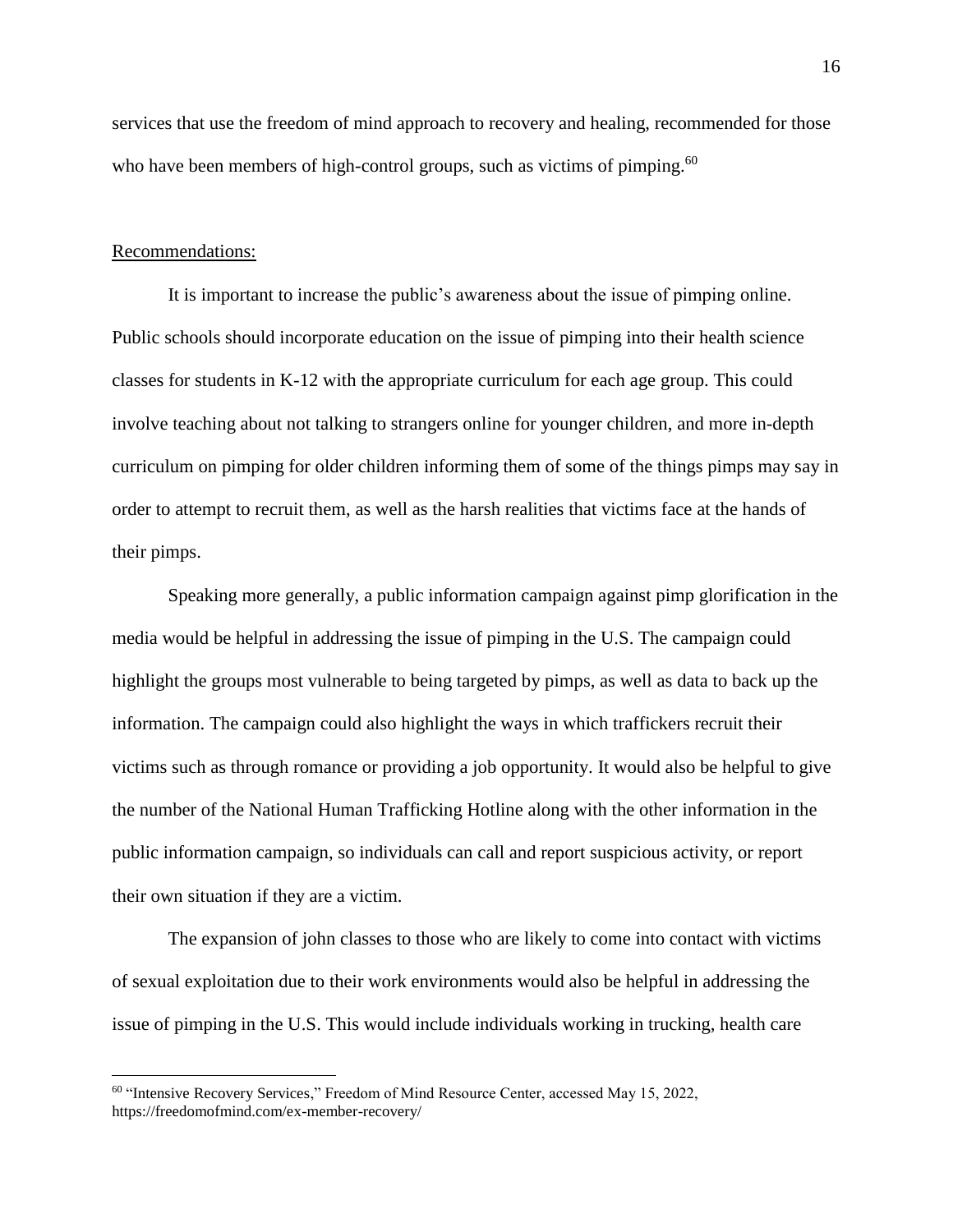services that use the freedom of mind approach to recovery and healing, recommended for those who have been members of high-control groups, such as victims of pimping.<sup>60</sup>

#### Recommendations:

 $\overline{a}$ 

It is important to increase the public's awareness about the issue of pimping online. Public schools should incorporate education on the issue of pimping into their health science classes for students in K-12 with the appropriate curriculum for each age group. This could involve teaching about not talking to strangers online for younger children, and more in-depth curriculum on pimping for older children informing them of some of the things pimps may say in order to attempt to recruit them, as well as the harsh realities that victims face at the hands of their pimps.

Speaking more generally, a public information campaign against pimp glorification in the media would be helpful in addressing the issue of pimping in the U.S. The campaign could highlight the groups most vulnerable to being targeted by pimps, as well as data to back up the information. The campaign could also highlight the ways in which traffickers recruit their victims such as through romance or providing a job opportunity. It would also be helpful to give the number of the National Human Trafficking Hotline along with the other information in the public information campaign, so individuals can call and report suspicious activity, or report their own situation if they are a victim.

The expansion of john classes to those who are likely to come into contact with victims of sexual exploitation due to their work environments would also be helpful in addressing the issue of pimping in the U.S. This would include individuals working in trucking, health care

<sup>&</sup>lt;sup>60</sup> "Intensive Recovery Services," Freedom of Mind Resource Center, accessed May 15, 2022, https://freedomofmind.com/ex-member-recovery/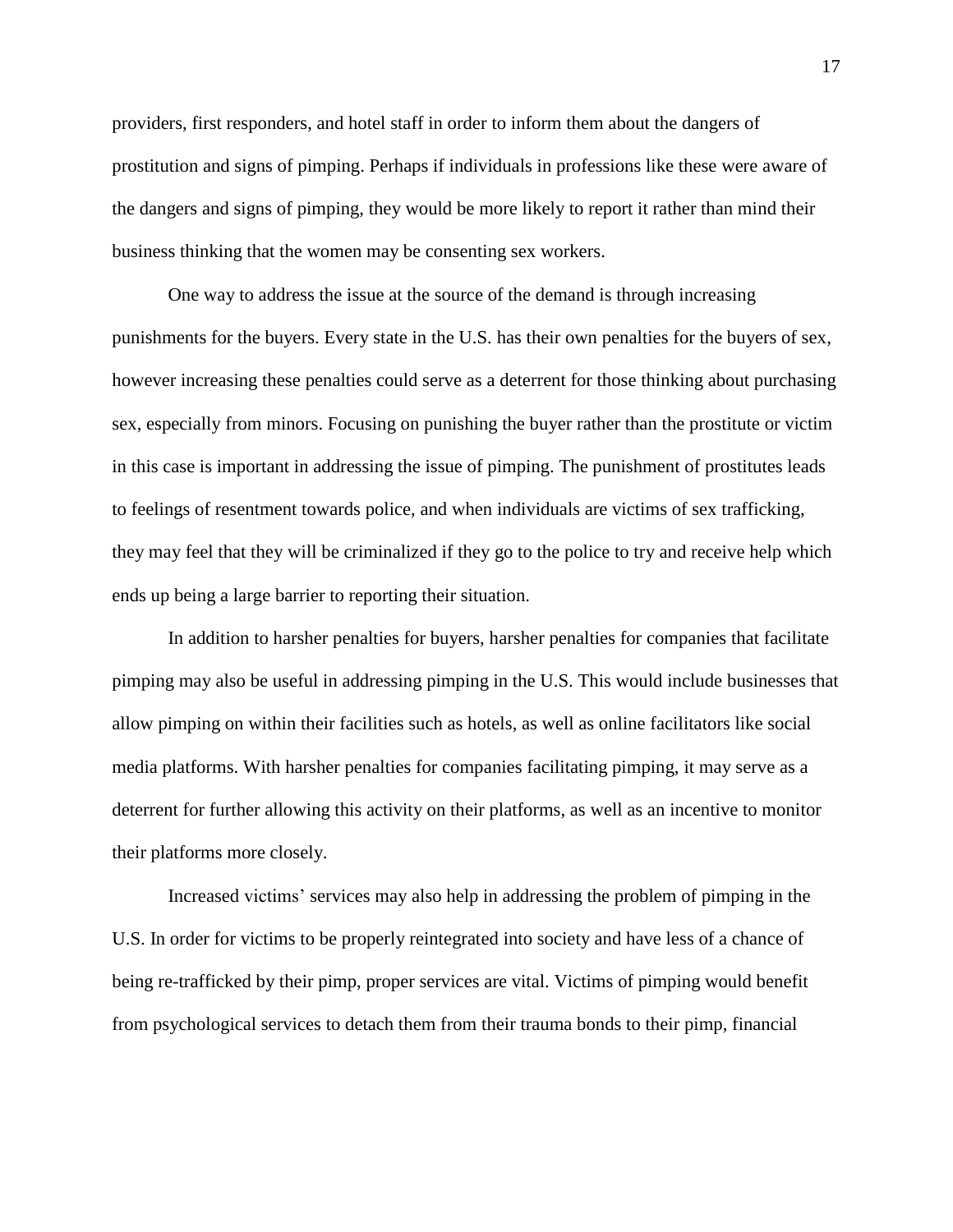providers, first responders, and hotel staff in order to inform them about the dangers of prostitution and signs of pimping. Perhaps if individuals in professions like these were aware of the dangers and signs of pimping, they would be more likely to report it rather than mind their business thinking that the women may be consenting sex workers.

One way to address the issue at the source of the demand is through increasing punishments for the buyers. Every state in the U.S. has their own penalties for the buyers of sex, however increasing these penalties could serve as a deterrent for those thinking about purchasing sex, especially from minors. Focusing on punishing the buyer rather than the prostitute or victim in this case is important in addressing the issue of pimping. The punishment of prostitutes leads to feelings of resentment towards police, and when individuals are victims of sex trafficking, they may feel that they will be criminalized if they go to the police to try and receive help which ends up being a large barrier to reporting their situation.

In addition to harsher penalties for buyers, harsher penalties for companies that facilitate pimping may also be useful in addressing pimping in the U.S. This would include businesses that allow pimping on within their facilities such as hotels, as well as online facilitators like social media platforms. With harsher penalties for companies facilitating pimping, it may serve as a deterrent for further allowing this activity on their platforms, as well as an incentive to monitor their platforms more closely.

Increased victims' services may also help in addressing the problem of pimping in the U.S. In order for victims to be properly reintegrated into society and have less of a chance of being re-trafficked by their pimp, proper services are vital. Victims of pimping would benefit from psychological services to detach them from their trauma bonds to their pimp, financial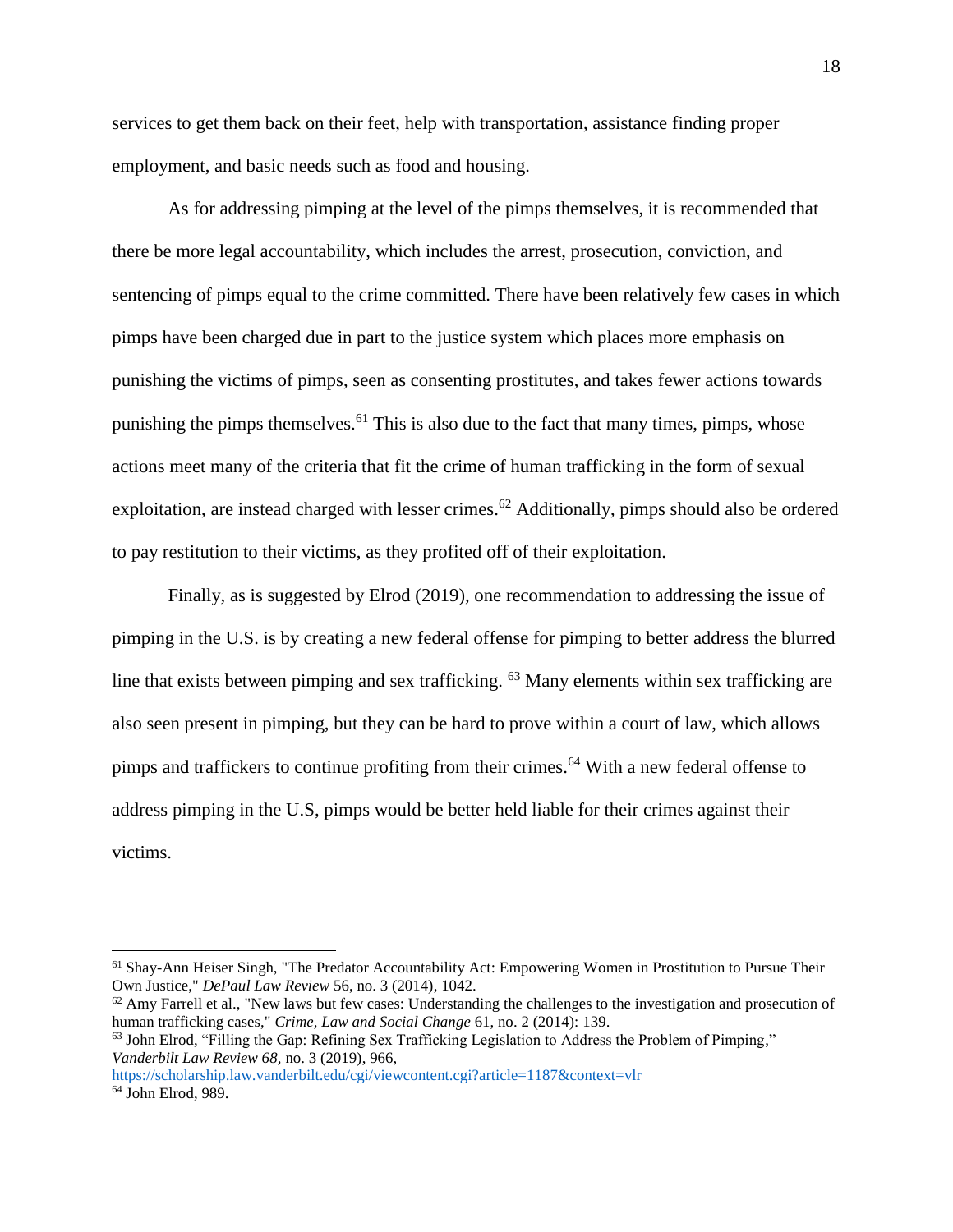services to get them back on their feet, help with transportation, assistance finding proper employment, and basic needs such as food and housing.

As for addressing pimping at the level of the pimps themselves, it is recommended that there be more legal accountability, which includes the arrest, prosecution, conviction, and sentencing of pimps equal to the crime committed. There have been relatively few cases in which pimps have been charged due in part to the justice system which places more emphasis on punishing the victims of pimps, seen as consenting prostitutes, and takes fewer actions towards punishing the pimps themselves.<sup>61</sup> This is also due to the fact that many times, pimps, whose actions meet many of the criteria that fit the crime of human trafficking in the form of sexual exploitation, are instead charged with lesser crimes.<sup>62</sup> Additionally, pimps should also be ordered to pay restitution to their victims, as they profited off of their exploitation.

Finally, as is suggested by Elrod (2019), one recommendation to addressing the issue of pimping in the U.S. is by creating a new federal offense for pimping to better address the blurred line that exists between pimping and sex trafficking. <sup>63</sup> Many elements within sex trafficking are also seen present in pimping, but they can be hard to prove within a court of law, which allows pimps and traffickers to continue profiting from their crimes.<sup>64</sup> With a new federal offense to address pimping in the U.S, pimps would be better held liable for their crimes against their victims.

<sup>61</sup> Shay-Ann Heiser Singh, "The Predator Accountability Act: Empowering Women in Prostitution to Pursue Their Own Justice," *DePaul Law Review* 56, no. 3 (2014), 1042.

 $62$  Amy Farrell et al., "New laws but few cases: Understanding the challenges to the investigation and prosecution of human trafficking cases," *Crime, Law and Social Change* 61, no. 2 (2014): 139.

<sup>&</sup>lt;sup>63</sup> John Elrod, "Filling the Gap: Refining Sex Trafficking Legislation to Address the Problem of Pimping," *Vanderbilt Law Review 68,* no. 3 (2019), 966,

<https://scholarship.law.vanderbilt.edu/cgi/viewcontent.cgi?article=1187&context=vlr> <sup>64</sup> John Elrod, 989.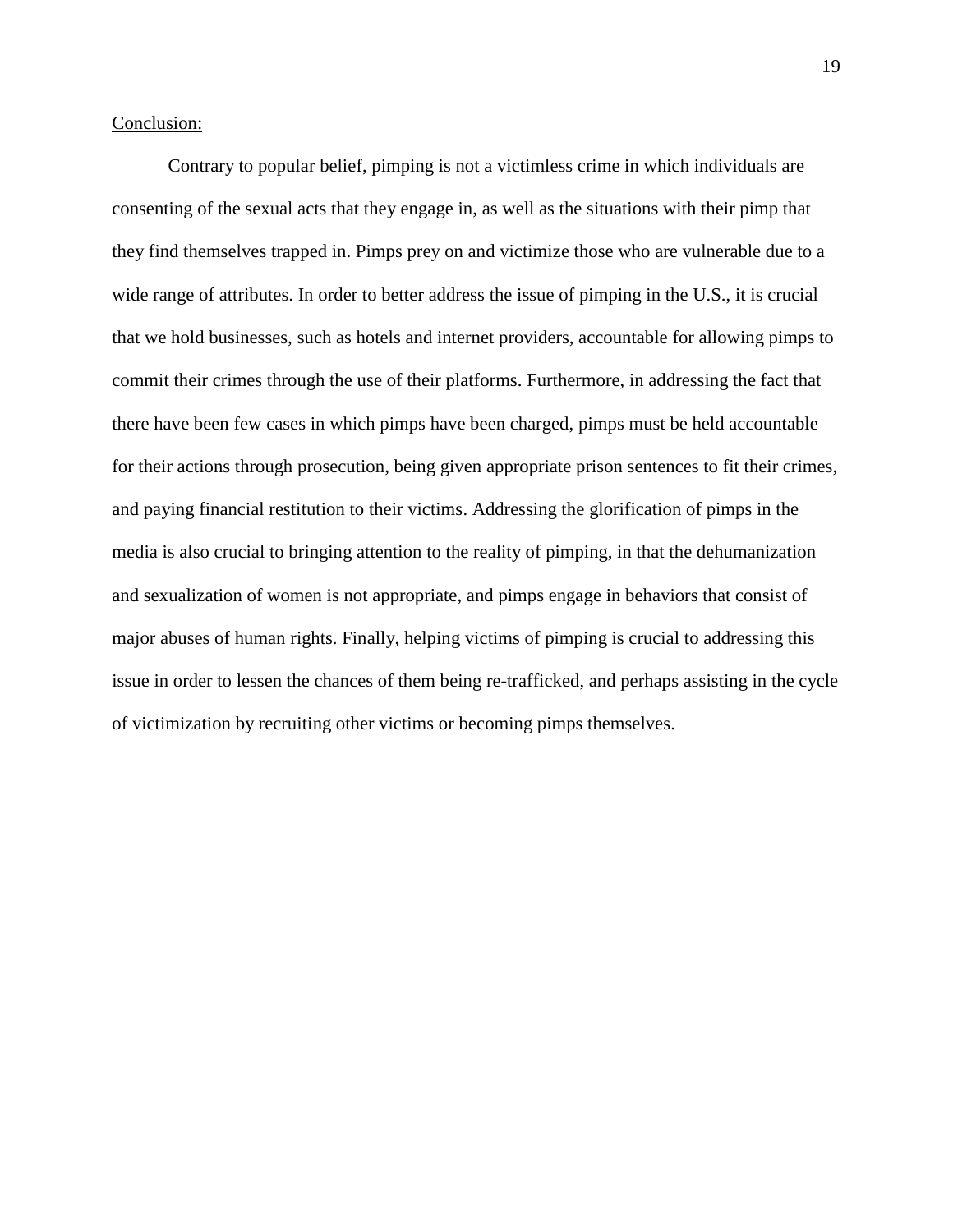## Conclusion:

Contrary to popular belief, pimping is not a victimless crime in which individuals are consenting of the sexual acts that they engage in, as well as the situations with their pimp that they find themselves trapped in. Pimps prey on and victimize those who are vulnerable due to a wide range of attributes. In order to better address the issue of pimping in the U.S., it is crucial that we hold businesses, such as hotels and internet providers, accountable for allowing pimps to commit their crimes through the use of their platforms. Furthermore, in addressing the fact that there have been few cases in which pimps have been charged, pimps must be held accountable for their actions through prosecution, being given appropriate prison sentences to fit their crimes, and paying financial restitution to their victims. Addressing the glorification of pimps in the media is also crucial to bringing attention to the reality of pimping, in that the dehumanization and sexualization of women is not appropriate, and pimps engage in behaviors that consist of major abuses of human rights. Finally, helping victims of pimping is crucial to addressing this issue in order to lessen the chances of them being re-trafficked, and perhaps assisting in the cycle of victimization by recruiting other victims or becoming pimps themselves.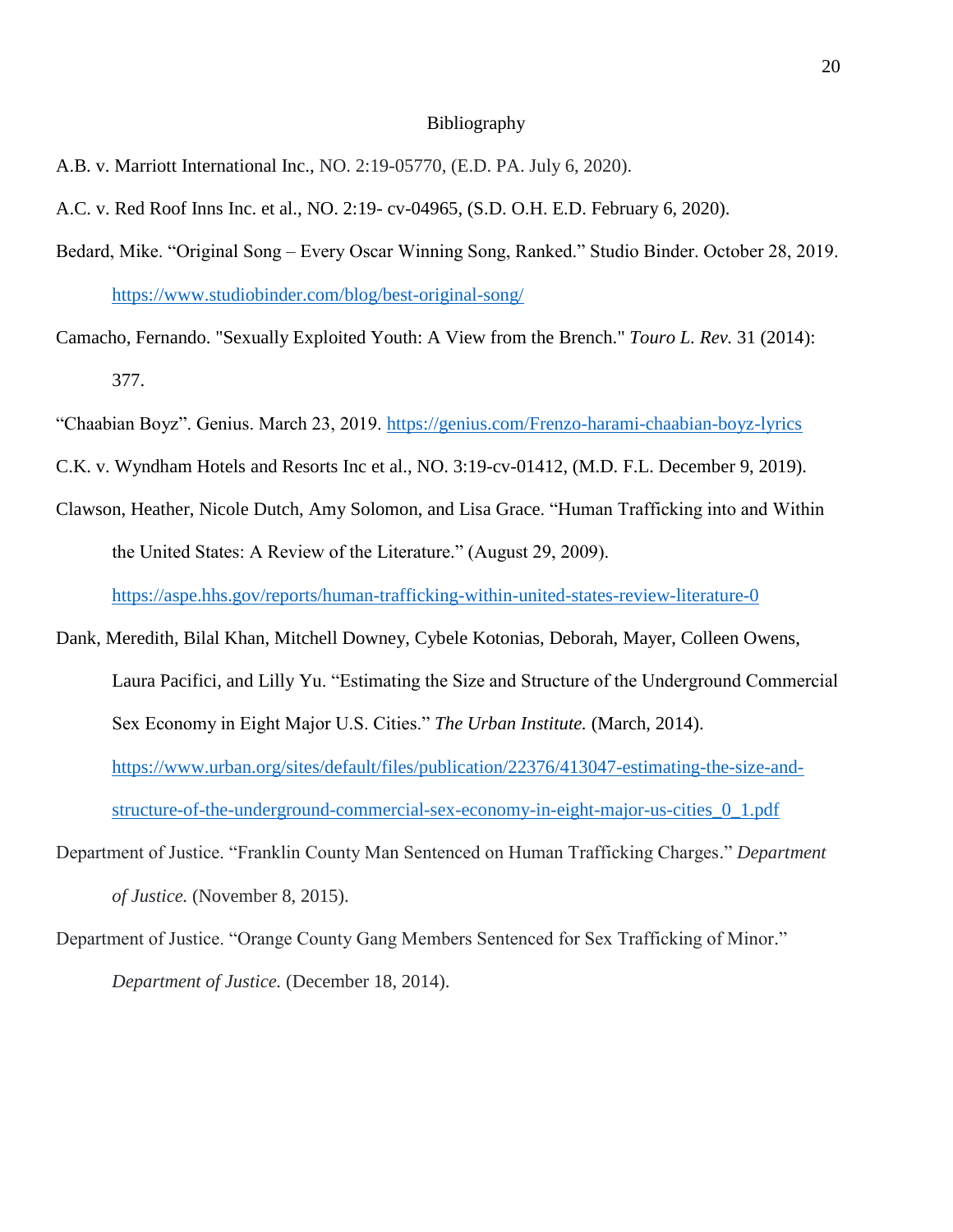### Bibliography

- A.B. v. Marriott International Inc., NO. 2:19-05770, (E.D. PA. July 6, 2020).
- A.C. v. Red Roof Inns Inc. et al., NO. 2:19- cv-04965, (S.D. O.H. E.D. February 6, 2020).
- Bedard, Mike. "Original Song Every Oscar Winning Song, Ranked." Studio Binder. October 28, 2019. <https://www.studiobinder.com/blog/best-original-song/>
- Camacho, Fernando. "Sexually Exploited Youth: A View from the Brench." *Touro L. Rev.* 31 (2014): 377.
- "Chaabian Boyz". Genius. March 23, 2019.<https://genius.com/Frenzo-harami-chaabian-boyz-lyrics>
- C.K. v. Wyndham Hotels and Resorts Inc et al., NO. 3:19-cv-01412, (M.D. F.L. December 9, 2019).
- Clawson, Heather, Nicole Dutch, Amy Solomon, and Lisa Grace. "Human Trafficking into and Within the United States: A Review of the Literature." (August 29, 2009).

<https://aspe.hhs.gov/reports/human-trafficking-within-united-states-review-literature-0>

- Dank, Meredith, Bilal Khan, Mitchell Downey, Cybele Kotonias, Deborah, Mayer, Colleen Owens, Laura Pacifici, and Lilly Yu. "Estimating the Size and Structure of the Underground Commercial Sex Economy in Eight Major U.S. Cities." *The Urban Institute.* (March, 2014). [https://www.urban.org/sites/default/files/publication/22376/413047-estimating-the-size-and](https://www.urban.org/sites/default/files/publication/22376/413047-estimating-the-size-and-structure-of-the-underground-commercial-sex-economy-in-eight-major-us-cities_0_1.pdf)[structure-of-the-underground-commercial-sex-economy-in-eight-major-us-cities\\_0\\_1.pdf](https://www.urban.org/sites/default/files/publication/22376/413047-estimating-the-size-and-structure-of-the-underground-commercial-sex-economy-in-eight-major-us-cities_0_1.pdf)
- Department of Justice. "Franklin County Man Sentenced on Human Trafficking Charges." *Department of Justice.* (November 8, 2015).
- Department of Justice. "Orange County Gang Members Sentenced for Sex Trafficking of Minor." *Department of Justice.* (December 18, 2014).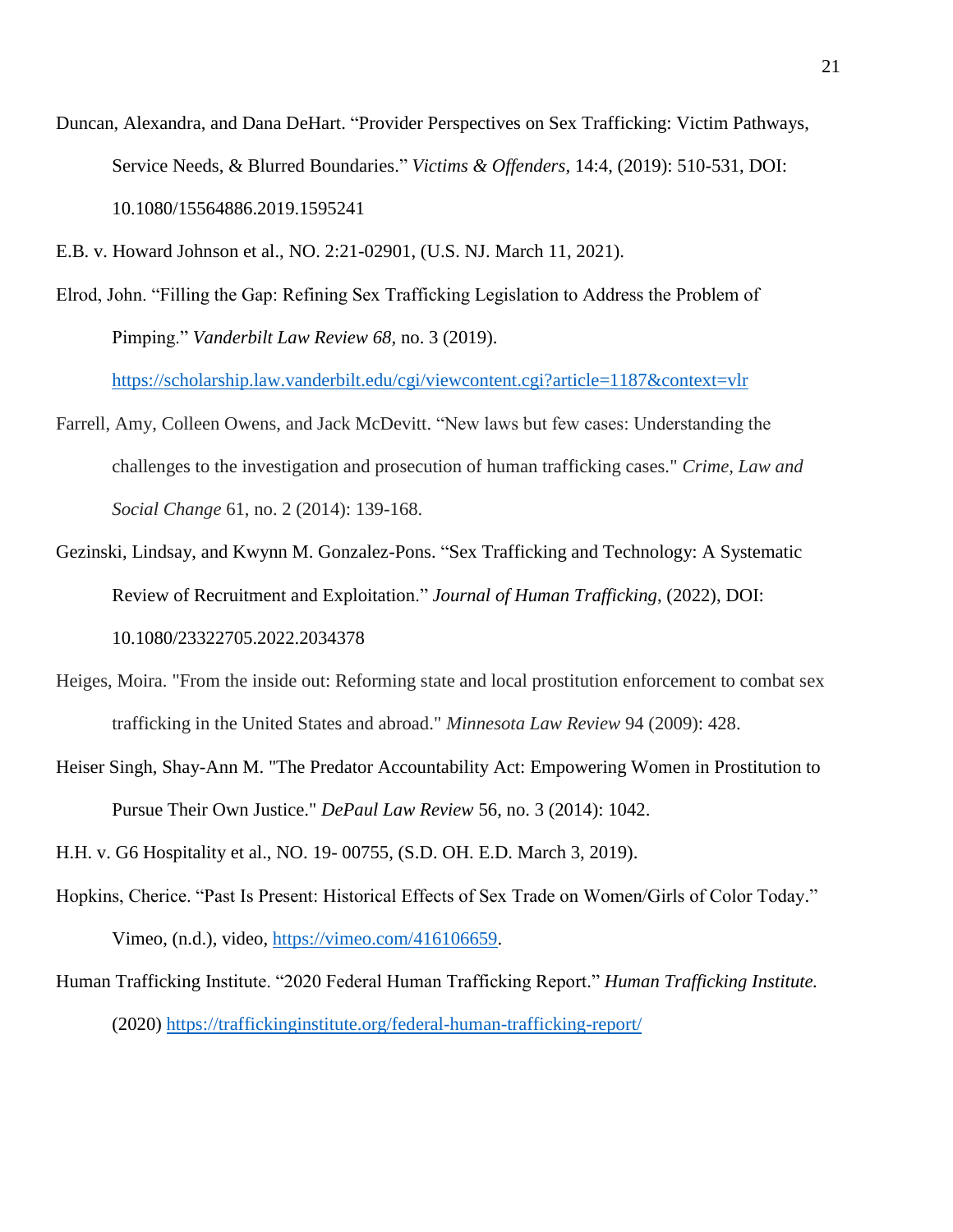- Duncan, Alexandra, and Dana DeHart. "Provider Perspectives on Sex Trafficking: Victim Pathways, Service Needs, & Blurred Boundaries." *Victims & Offenders*, 14:4, (2019): 510-531, DOI: 10.1080/15564886.2019.1595241
- E.B. v. Howard Johnson et al., NO. 2:21-02901, (U.S. NJ. March 11, 2021).
- Elrod, John. "Filling the Gap: Refining Sex Trafficking Legislation to Address the Problem of Pimping." *Vanderbilt Law Review 68,* no. 3 (2019).

<https://scholarship.law.vanderbilt.edu/cgi/viewcontent.cgi?article=1187&context=vlr>

- Farrell, Amy, Colleen Owens, and Jack McDevitt. "New laws but few cases: Understanding the challenges to the investigation and prosecution of human trafficking cases." *Crime, Law and Social Change* 61, no. 2 (2014): 139-168.
- Gezinski, Lindsay, and Kwynn M. Gonzalez-Pons. "Sex Trafficking and Technology: A Systematic Review of Recruitment and Exploitation." *Journal of Human Trafficking*, (2022), DOI: 10.1080/23322705.2022.2034378
- Heiges, Moira. "From the inside out: Reforming state and local prostitution enforcement to combat sex trafficking in the United States and abroad." *Minnesota Law Review* 94 (2009): 428.
- Heiser Singh, Shay-Ann M. "The Predator Accountability Act: Empowering Women in Prostitution to Pursue Their Own Justice." *DePaul Law Review* 56, no. 3 (2014): 1042.

H.H. v. G6 Hospitality et al., NO. 19- 00755, (S.D. OH. E.D. March 3, 2019).

- Hopkins, Cherice. "Past Is Present: Historical Effects of Sex Trade on Women/Girls of Color Today." Vimeo, (n.d.), video, [https://vimeo.com/416106659.](https://vimeo.com/416106659)
- Human Trafficking Institute. "2020 Federal Human Trafficking Report." *Human Trafficking Institute.*  (2020)<https://traffickinginstitute.org/federal-human-trafficking-report/>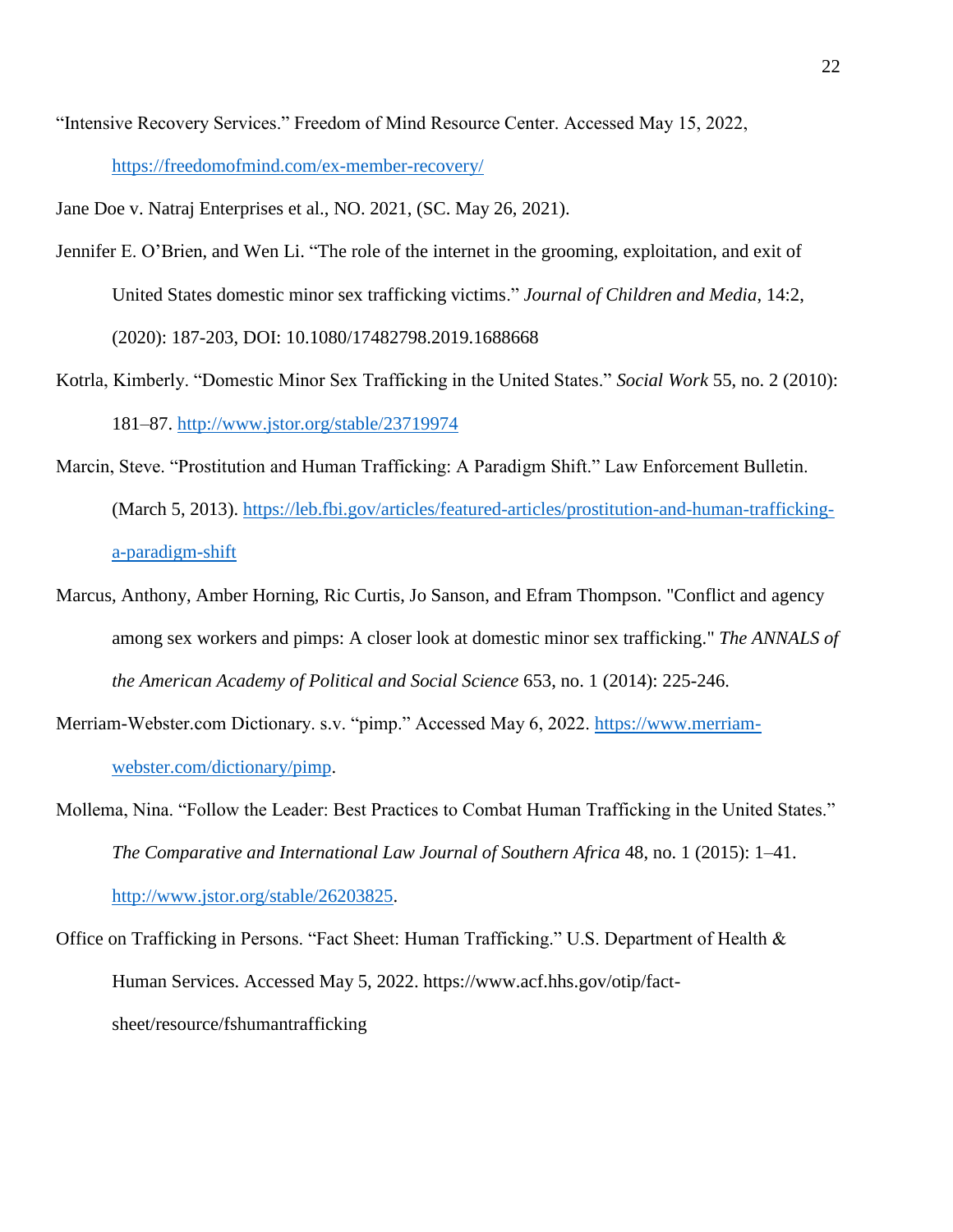"Intensive Recovery Services." Freedom of Mind Resource Center. Accessed May 15, 2022, <https://freedomofmind.com/ex-member-recovery/>

Jane Doe v. Natraj Enterprises et al., NO. 2021, (SC. May 26, 2021).

- Jennifer E. O'Brien, and Wen Li. "The role of the internet in the grooming, exploitation, and exit of United States domestic minor sex trafficking victims." *Journal of Children and Media*, 14:2, (2020): 187-203, DOI: 10.1080/17482798.2019.1688668
- Kotrla, Kimberly. "Domestic Minor Sex Trafficking in the United States." *Social Work* 55, no. 2 (2010): 181–87.<http://www.jstor.org/stable/23719974>
- Marcin, Steve. "Prostitution and Human Trafficking: A Paradigm Shift." Law Enforcement Bulletin. (March 5, 2013). [https://leb.fbi.gov/articles/featured-articles/prostitution-and-human-trafficking](https://leb.fbi.gov/articles/featured-articles/prostitution-and-human-trafficking-a-paradigm-shift)[a-paradigm-shift](https://leb.fbi.gov/articles/featured-articles/prostitution-and-human-trafficking-a-paradigm-shift)
- Marcus, Anthony, Amber Horning, Ric Curtis, Jo Sanson, and Efram Thompson. "Conflict and agency among sex workers and pimps: A closer look at domestic minor sex trafficking." *The ANNALS of the American Academy of Political and Social Science* 653, no. 1 (2014): 225-246.
- Merriam-Webster.com Dictionary. s.v. "pimp." Accessed May 6, 2022. [https://www.merriam](https://www.merriam-webster.com/dictionary/pimp)[webster.com/dictionary/pimp.](https://www.merriam-webster.com/dictionary/pimp)
- Mollema, Nina. "Follow the Leader: Best Practices to Combat Human Trafficking in the United States." *The Comparative and International Law Journal of Southern Africa* 48, no. 1 (2015): 1–41. [http://www.jstor.org/stable/26203825.](http://www.jstor.org/stable/26203825)
- Office on Trafficking in Persons. "Fact Sheet: Human Trafficking." U.S. Department of Health & Human Services. Accessed May 5, 2022. https://www.acf.hhs.gov/otip/factsheet/resource/fshumantrafficking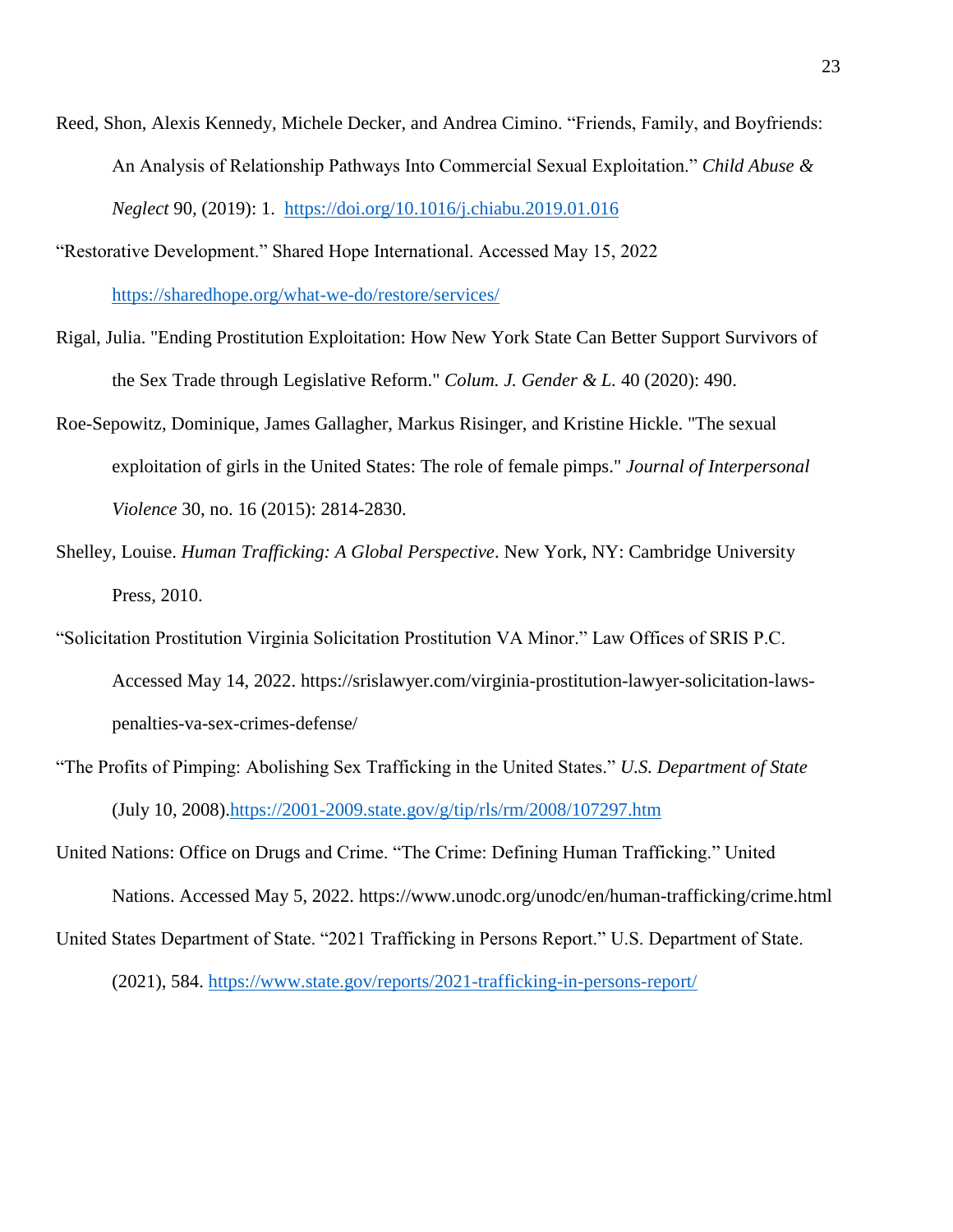- Reed, Shon, Alexis Kennedy, Michele Decker, and Andrea Cimino. "Friends, Family, and Boyfriends: An Analysis of Relationship Pathways Into Commercial Sexual Exploitation." *Child Abuse & Neglect* 90*,* (2019): 1. <https://doi.org/10.1016/j.chiabu.2019.01.016>
- "Restorative Development." Shared Hope International. Accessed May 15, 2022 <https://sharedhope.org/what-we-do/restore/services/>
- Rigal, Julia. "Ending Prostitution Exploitation: How New York State Can Better Support Survivors of the Sex Trade through Legislative Reform." *Colum. J. Gender & L.* 40 (2020): 490.
- Roe-Sepowitz, Dominique, James Gallagher, Markus Risinger, and Kristine Hickle. "The sexual exploitation of girls in the United States: The role of female pimps." *Journal of Interpersonal Violence* 30, no. 16 (2015): 2814-2830.
- Shelley, Louise. *Human Trafficking: A Global Perspective*. New York, NY: Cambridge University Press, 2010.
- "Solicitation Prostitution Virginia Solicitation Prostitution VA Minor." Law Offices of SRIS P.C. Accessed May 14, 2022. https://srislawyer.com/virginia-prostitution-lawyer-solicitation-lawspenalties-va-sex-crimes-defense/
- "The Profits of Pimping: Abolishing Sex Trafficking in the United States." *U.S. Department of State*  (July 10, 2008)[.https://2001-2009.state.gov/g/tip/rls/rm/2008/107297.htm](https://2001-2009.state.gov/g/tip/rls/rm/2008/107297.htm)
- United Nations: Office on Drugs and Crime. "The Crime: Defining Human Trafficking." United Nations. Accessed May 5, 2022. https://www.unodc.org/unodc/en/human-trafficking/crime.html
- United States Department of State. "2021 Trafficking in Persons Report." U.S. Department of State.

(2021), 584.<https://www.state.gov/reports/2021-trafficking-in-persons-report/>